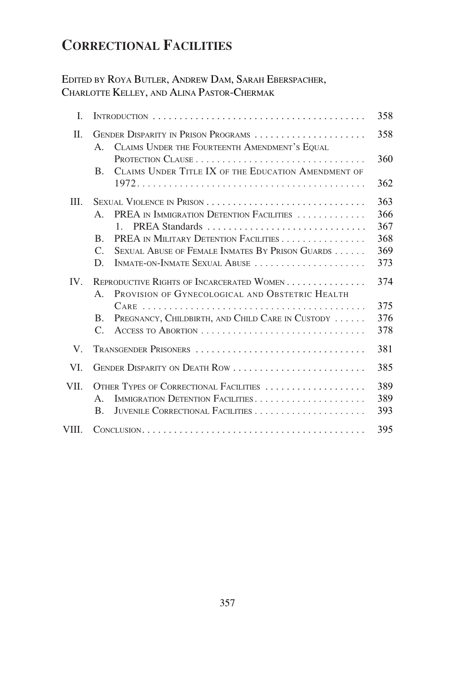# **CORRECTIONAL FACILITIES**

## EDITED BY ROYA BUTLER, ANDREW DAM, SARAH EBERSPACHER, CHARLOTTE KELLEY, AND ALINA PASTOR-CHERMAK

| L.       |                                                                                                         | 358 |
|----------|---------------------------------------------------------------------------------------------------------|-----|
| $\Pi$ .  | GENDER DISPARITY IN PRISON PROGRAMS<br>CLAIMS UNDER THE FOURTEENTH AMENDMENT'S EQUAL<br>$A_{-}$         | 358 |
|          |                                                                                                         | 360 |
|          | CLAIMS UNDER TITLE IX OF THE EDUCATION AMENDMENT OF<br>$B_{\cdot}$                                      | 362 |
| Ш.       |                                                                                                         | 363 |
|          | PREA IN IMMIGRATION DETENTION FACILITIES<br>$A_{\cdot}$                                                 | 366 |
|          | PREA Standards<br>$1 \quad$                                                                             | 367 |
|          | PREA IN MILITARY DETENTION FACILITIES<br>B.                                                             | 368 |
|          | SEXUAL ABUSE OF FEMALE INMATES BY PRISON GUARDS<br>$\mathcal{C}$ .                                      | 369 |
|          | INMATE-ON-INMATE SEXUAL ABUSE<br>D.                                                                     | 373 |
| $IV_{-}$ | REPRODUCTIVE RIGHTS OF INCARCERATED WOMEN<br>PROVISION OF GYNECOLOGICAL AND OBSTETRIC HEALTH<br>$A_{-}$ | 374 |
|          |                                                                                                         | 375 |
|          | PREGNANCY, CHILDBIRTH, AND CHILD CARE IN CUSTODY<br>$\mathbf{B}$ .                                      | 376 |
|          | $\mathcal{C}$ .                                                                                         | 378 |
| V.       | TRANSGENDER PRISONERS                                                                                   | 381 |
| VI.      | GENDER DISPARITY ON DEATH ROW                                                                           | 385 |
| VII.     | OTHER TYPES OF CORRECTIONAL FACILITIES                                                                  | 389 |
|          | IMMIGRATION DETENTION FACILITIES<br>$\mathsf{A}$ .                                                      | 389 |
|          | B.                                                                                                      | 393 |
| VIII.    |                                                                                                         | 395 |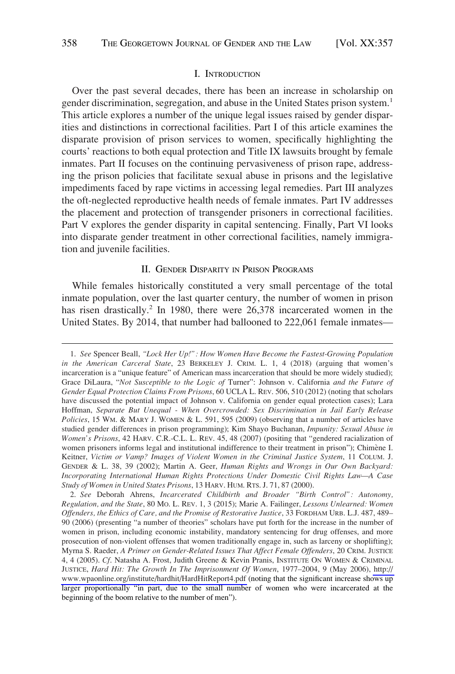#### I. INTRODUCTION

<span id="page-1-0"></span>Over the past several decades, there has been an increase in scholarship on gender discrimination, segregation, and abuse in the United States prison system.<sup>1</sup> This article explores a number of the unique legal issues raised by gender disparities and distinctions in correctional facilities. Part I of this article examines the disparate provision of prison services to women, specifically highlighting the courts' reactions to both equal protection and Title IX lawsuits brought by female inmates. Part II focuses on the continuing pervasiveness of prison rape, addressing the prison policies that facilitate sexual abuse in prisons and the legislative impediments faced by rape victims in accessing legal remedies. Part III analyzes the oft-neglected reproductive health needs of female inmates. Part IV addresses the placement and protection of transgender prisoners in correctional facilities. Part V explores the gender disparity in capital sentencing. Finally, Part VI looks into disparate gender treatment in other correctional facilities, namely immigration and juvenile facilities.

## II. GENDER DISPARITY IN PRISON PROGRAMS

While females historically constituted a very small percentage of the total inmate population, over the last quarter century, the number of women in prison has risen drastically.<sup>2</sup> In 1980, there were 26,378 incarcerated women in the United States. By 2014, that number had ballooned to 222,061 female inmates—

<sup>1.</sup> *See* Spencer Beall, *"Lock Her Up!": How Women Have Become the Fastest-Growing Population in the American Carceral State*, 23 BERKELEY J. CRIM. L. 1, 4 (2018) (arguing that women's incarceration is a "unique feature" of American mass incarceration that should be more widely studied); Grace DiLaura, "*Not Susceptible to the Logic of* Turner": Johnson v. California *and the Future of Gender Equal Protection Claims From Prisons*, 60 UCLA L. REV. 506, 510 (2012) (noting that scholars have discussed the potential impact of Johnson v. California on gender equal protection cases); Lara Hoffman, *Separate But Unequal - When Overcrowded: Sex Discrimination in Jail Early Release Policies*, 15 WM. & MARY J. WOMEN & L. 591, 595 (2009) (observing that a number of articles have studied gender differences in prison programming); Kim Shayo Buchanan, *Impunity: Sexual Abuse in Women's Prisons*, 42 HARV. C.R.-C.L. L. REV. 45, 48 (2007) (positing that "gendered racialization of women prisoners informs legal and institutional indifference to their treatment in prison"); Chimène I. Keitner, *Victim or Vamp? Images of Violent Women in the Criminal Justice System*, 11 COLUM. J. GENDER & L. 38, 39 (2002); Martin A. Geer, *Human Rights and Wrongs in Our Own Backyard: Incorporating International Human Rights Protections Under Domestic Civil Rights Law—A Case Study of Women in United States Prisons*, 13 HARV. HUM. RTS. J. 71, 87 (2000).

*See* Deborah Ahrens, *Incarcerated Childbirth and Broader "Birth Control": Autonomy,*  2. *Regulation, and the State*, 80 MO. L. REV. 1, 3 (2015); Marie A. Failinger, *Lessons Unlearned: Women Offenders, the Ethics of Care, and the Promise of Restorative Justice*, 33 FORDHAM URB. L.J. 487, 489– 90 (2006) (presenting "a number of theories" scholars have put forth for the increase in the number of women in prison, including economic instability, mandatory sentencing for drug offenses, and more prosecution of non-violent offenses that women traditionally engage in, such as larceny or shoplifting); Myrna S. Raeder, *A Primer on Gender-Related Issues That Affect Female Offenders*, 20 CRIM. JUSTICE 4, 4 (2005). *Cf*. Natasha A. Frost, Judith Greene & Kevin Pranis, INSTITUTE ON WOMEN & CRIMINAL JUSTICE, *Hard Hit: The Growth In The Imprisonment Of Women*, 1977–2004, 9 (May 2006), [http://](http://www.wpaonline.org/institute/hardhit/HardHitReport4.pdf)  [www.wpaonline.org/institute/hardhit/HardHitReport4.pdf](http://www.wpaonline.org/institute/hardhit/HardHitReport4.pdf) (noting that the significant increase shows up larger proportionally "in part, due to the small number of women who were incarcerated at the beginning of the boom relative to the number of men").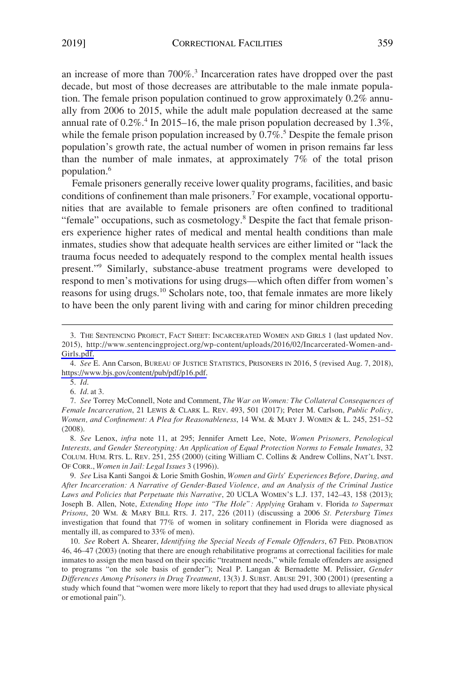an increase of more than 700%.<sup>3</sup> Incarceration rates have dropped over the past decade, but most of those decreases are attributable to the male inmate population. The female prison population continued to grow approximately 0.2% annually from 2006 to 2015, while the adult male population decreased at the same annual rate of  $0.2\%$ .<sup>4</sup> In 2015–16, the male prison population decreased by 1.3%, while the female prison population increased by  $0.7\%$ .<sup>5</sup> Despite the female prison population's growth rate, the actual number of women in prison remains far less than the number of male inmates, at approximately 7% of the total prison population.6

Female prisoners generally receive lower quality programs, facilities, and basic conditions of confinement than male prisoners.7 For example, vocational opportunities that are available to female prisoners are often confined to traditional "female" occupations, such as cosmetology.<sup>8</sup> Despite the fact that female prisoners experience higher rates of medical and mental health conditions than male inmates, studies show that adequate health services are either limited or "lack the trauma focus needed to adequately respond to the complex mental health issues present."9 Similarly, substance-abuse treatment programs were developed to respond to men's motivations for using drugs—which often differ from women's reasons for using drugs.<sup>10</sup> Scholars note, too, that female inmates are more likely to have been the only parent living with and caring for minor children preceding

5. *Id*.

6. *Id*. at 3.

8. *See* Lenox, *infra* note 11, at 295; Jennifer Arnett Lee, Note, *Women Prisoners, Penological Interests, and Gender Stereotyping: An Application of Equal Protection Norms to Female Inmates*, 32 COLUM. HUM. RTS. L. REV. 251, 255 (2000) (citing William C. Collins & Andrew Collins, NAT'L INST. OF CORR., *Women in Jail: Legal Issues* 3 (1996)).

9. *See* Lisa Kanti Sangoi & Lorie Smith Goshin, *Women and Girls' Experiences Before, During, and After Incarceration: A Narrative of Gender-Based Violence, and an Analysis of the Criminal Justice Laws and Policies that Perpetuate this Narrative*, 20 UCLA WOMEN'S L.J. 137, 142–43, 158 (2013); Joseph B. Allen, Note, *Extending Hope into "The Hole": Applying* Graham v. Florida *to Supermax Prisons*, 20 WM. & MARY BILL RTS. J. 217, 226 (2011) (discussing a 2006 *St. Petersburg Times*  investigation that found that 77% of women in solitary confinement in Florida were diagnosed as mentally ill, as compared to 33% of men).

10. *See* Robert A. Shearer, *Identifying the Special Needs of Female Offenders*, 67 FED. PROBATION 46, 46–47 (2003) (noting that there are enough rehabilitative programs at correctional facilities for male inmates to assign the men based on their specific "treatment needs," while female offenders are assigned to programs "on the sole basis of gender"); Neal P. Langan & Bernadette M. Pelissier, *Gender Differences Among Prisoners in Drug Treatment*, 13(3) J. SUBST. ABUSE 291, 300 (2001) (presenting a study which found that "women were more likely to report that they had used drugs to alleviate physical or emotional pain").

<sup>3.</sup> THE SENTENCING PROJECT, FACT SHEET: INCARCERATED WOMEN AND GIRLS 1 (last updated Nov. 2015), [http://www.sentencingproject.org/wp-content/uploads/2016/02/Incarcerated-Women-and-](http://www.sentencingproject.org/wp-content/uploads/2016/02/Incarcerated-Women-and-Girls.pdf)[Girls.pdf.](http://www.sentencingproject.org/wp-content/uploads/2016/02/Incarcerated-Women-and-Girls.pdf)

*See* E. Ann Carson, BUREAU OF JUSTICE STATISTICS, PRISONERS IN 2016, 5 (revised Aug. 7, 2018), 4. [https://www.bjs.gov/content/pub/pdf/p16.pdf.](https://www.bjs.gov/content/pub/pdf/p16.pdf)

<sup>7.</sup> *See* Torrey McConnell, Note and Comment, *The War on Women: The Collateral Consequences of Female Incarceration*, 21 LEWIS & CLARK L. REV. 493, 501 (2017); Peter M. Carlson, *Public Policy, Women, and Confinement: A Plea for Reasonableness*, 14 WM. & MARY J. WOMEN & L. 245, 251–52 (2008).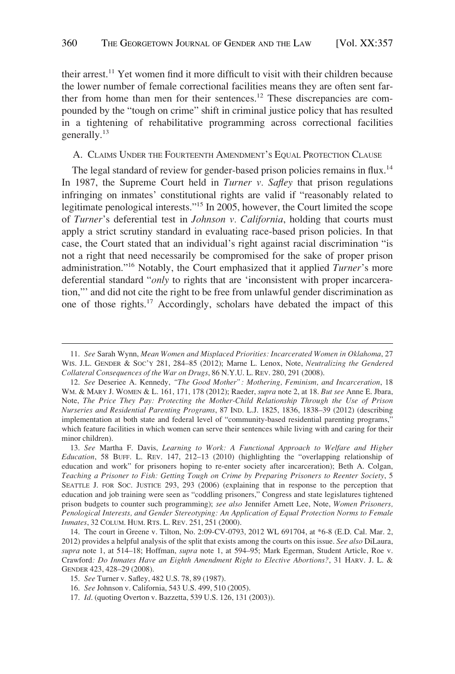<span id="page-3-0"></span>their arrest.<sup>11</sup> Yet women find it more difficult to visit with their children because the lower number of female correctional facilities means they are often sent farther from home than men for their sentences.<sup>12</sup> These discrepancies are compounded by the "tough on crime" shift in criminal justice policy that has resulted in a tightening of rehabilitative programming across correctional facilities generally.13

## A. CLAIMS UNDER THE FOURTEENTH AMENDMENT'S EQUAL PROTECTION CLAUSE

The legal standard of review for gender-based prison policies remains in flux.<sup>14</sup> In 1987, the Supreme Court held in *Turner v. Safley* that prison regulations infringing on inmates' constitutional rights are valid if "reasonably related to legitimate penological interests."15 In 2005, however, the Court limited the scope of *Turner*'s deferential test in *Johnson v. California*, holding that courts must apply a strict scrutiny standard in evaluating race-based prison policies. In that case, the Court stated that an individual's right against racial discrimination "is not a right that need necessarily be compromised for the sake of proper prison administration."16 Notably, the Court emphasized that it applied *Turner*'s more deferential standard "*only* to rights that are 'inconsistent with proper incarceration,"' and did not cite the right to be free from unlawful gender discrimination as one of those rights.<sup>17</sup> Accordingly, scholars have debated the impact of this

<sup>11.</sup> *See* Sarah Wynn, *Mean Women and Misplaced Priorities: Incarcerated Women in Oklahoma*, 27 WIS. J.L. GENDER & SOC'Y 281, 284–85 (2012); Marne L. Lenox, Note, *Neutralizing the Gendered Collateral Consequences of the War on Drugs*, 86 N.Y.U. L. REV. 280, 291 (2008).

<sup>12.</sup> *See* Deseriee A. Kennedy, *"The Good Mother": Mothering, Feminism, and Incarceration*, 18 WM. & MARY J. WOMEN & L. 161, 171, 178 (2012); Raeder, *supra* note 2, at 18. *But see* Anne E. Jbara, Note, *The Price They Pay: Protecting the Mother-Child Relationship Through the Use of Prison Nurseries and Residential Parenting Programs*, 87 IND. L.J. 1825, 1836, 1838–39 (2012) (describing implementation at both state and federal level of "community-based residential parenting programs," which feature facilities in which women can serve their sentences while living with and caring for their minor children).

<sup>13.</sup> *See* Martha F. Davis, *Learning to Work: A Functional Approach to Welfare and Higher Education*, 58 BUFF. L. REV. 147, 212–13 (2010) (highlighting the "overlapping relationship of education and work" for prisoners hoping to re-enter society after incarceration); Beth A. Colgan, *Teaching a Prisoner to Fish: Getting Tough on Crime by Preparing Prisoners to Reenter Society*, 5 SEATTLE J. FOR SOC. JUSTICE 293, 293 (2006) (explaining that in response to the perception that education and job training were seen as "coddling prisoners," Congress and state legislatures tightened prison budgets to counter such programming); *see also* Jennifer Arnett Lee, Note, *Women Prisoners, Penological Interests, and Gender Stereotyping: An Application of Equal Protection Norms to Female Inmates*, 32 COLUM. HUM. RTS. L. REV. 251, 251 (2000).

<sup>14.</sup> The court in Greene v. Tilton, No. 2:09-CV-0793, 2012 WL 691704, at \*6-8 (E.D. Cal. Mar. 2, 2012) provides a helpful analysis of the split that exists among the courts on this issue. *See also* DiLaura, *supra* note 1, at 514–18; Hoffman, *supra* note 1, at 594–95; Mark Egerman, Student Article, Roe v. Crawford*: Do Inmates Have an Eighth Amendment Right to Elective Abortions?*, 31 HARV. J. L. & GENDER 423, 428–29 (2008).

<sup>15.</sup> *See* Turner v. Safley, 482 U.S. 78, 89 (1987).

<sup>16.</sup> *See* Johnson v. California, 543 U.S. 499, 510 (2005).

<sup>17.</sup> *Id*. (quoting Overton v. Bazzetta, 539 U.S. 126, 131 (2003)).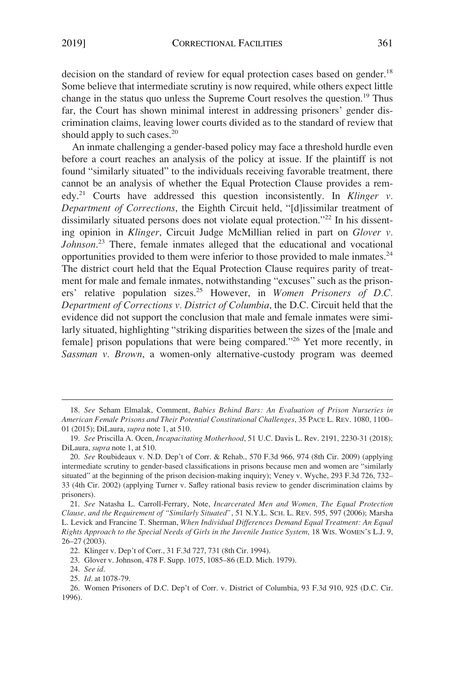decision on the standard of review for equal protection cases based on gender.<sup>18</sup> Some believe that intermediate scrutiny is now required, while others expect little change in the status quo unless the Supreme Court resolves the question.<sup>19</sup> Thus far, the Court has shown minimal interest in addressing prisoners' gender discrimination claims, leaving lower courts divided as to the standard of review that should apply to such cases.<sup>20</sup>

An inmate challenging a gender-based policy may face a threshold hurdle even before a court reaches an analysis of the policy at issue. If the plaintiff is not found "similarly situated" to the individuals receiving favorable treatment, there cannot be an analysis of whether the Equal Protection Clause provides a remedy.21 Courts have addressed this question inconsistently. In *Klinger v. Department of Corrections*, the Eighth Circuit held, "[d]issimilar treatment of dissimilarly situated persons does not violate equal protection."<sup>22</sup> In his dissenting opinion in *Klinger*, Circuit Judge McMillian relied in part on *Glover v. Johnson*. 23 There, female inmates alleged that the educational and vocational opportunities provided to them were inferior to those provided to male inmates.24 The district court held that the Equal Protection Clause requires parity of treatment for male and female inmates, notwithstanding "excuses" such as the prisoners' relative population sizes.25 However, in *Women Prisoners of D.C. Department of Corrections v. District of Columbia*, the D.C. Circuit held that the evidence did not support the conclusion that male and female inmates were similarly situated, highlighting "striking disparities between the sizes of the [male and female] prison populations that were being compared."<sup>26</sup> Yet more recently, in *Sassman v. Brown*, a women-only alternative-custody program was deemed

<sup>18.</sup> *See* Seham Elmalak, Comment, *Babies Behind Bars: An Evaluation of Prison Nurseries in American Female Prisons and Their Potential Constitutional Challenges*, 35 PACE L. REV. 1080, 1100– 01 (2015); DiLaura, *supra* note 1, at 510.

<sup>19.</sup> *See* Priscilla A. Ocen, *Incapacitating Motherhood*, 51 U.C. Davis L. Rev. 2191, 2230-31 (2018); DiLaura, *supra* note 1, at 510.

<sup>20.</sup> *See* Roubideaux v. N.D. Dep't of Corr. & Rehab., 570 F.3d 966, 974 (8th Cir. 2009) (applying intermediate scrutiny to gender-based classifications in prisons because men and women are "similarly situated" at the beginning of the prison decision-making inquiry); Veney v. Wyche, 293 F.3d 726, 732– 33 (4th Cir. 2002) (applying Turner v. Safley rational basis review to gender discrimination claims by prisoners).

<sup>21.</sup> *See* Natasha L. Carroll-Ferrary, Note, *Incarcerated Men and Women, The Equal Protection Clause, and the Requirement of "Similarly Situated"*, 51 N.Y.L. SCH. L. REV. 595, 597 (2006); Marsha L. Levick and Francine T. Sherman, *When Individual Differences Demand Equal Treatment: An Equal Rights Approach to the Special Needs of Girls in the Juvenile Justice System*, 18 WIS. WOMEN'S L.J. 9, 26–27 (2003).

<sup>22.</sup> Klinger v. Dep't of Corr., 31 F.3d 727, 731 (8th Cir. 1994).

<sup>23.</sup> Glover v. Johnson, 478 F. Supp. 1075, 1085–86 (E.D. Mich. 1979).

<sup>24.</sup> *See id*.

<sup>25.</sup> *Id*. at 1078-79.

<sup>26.</sup> Women Prisoners of D.C. Dep't of Corr. v. District of Columbia, 93 F.3d 910, 925 (D.C. Cir. 1996).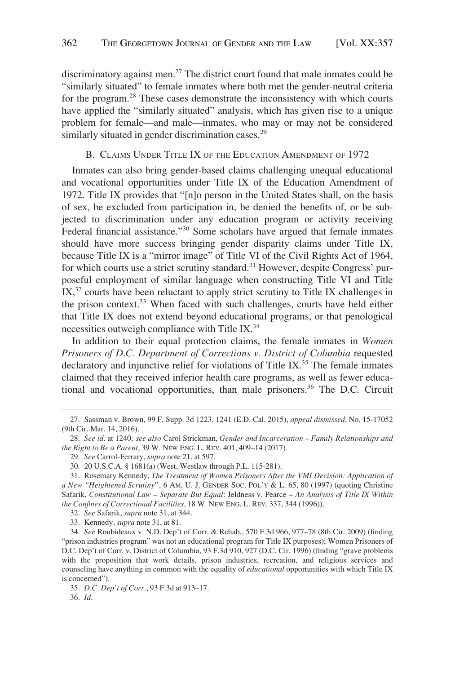<span id="page-5-0"></span>discriminatory against men.<sup>27</sup> The district court found that male inmates could be "similarly situated" to female inmates where both met the gender-neutral criteria for the program.28 These cases demonstrate the inconsistency with which courts have applied the "similarly situated" analysis, which has given rise to a unique problem for female—and male—inmates, who may or may not be considered similarly situated in gender discrimination cases.<sup>29</sup>

## B. CLAIMS UNDER TITLE IX OF THE EDUCATION AMENDMENT OF 1972

Inmates can also bring gender-based claims challenging unequal educational and vocational opportunities under Title IX of the Education Amendment of 1972. Title IX provides that "[n]o person in the United States shall, on the basis of sex, be excluded from participation in, be denied the benefits of, or be subjected to discrimination under any education program or activity receiving Federal financial assistance."<sup>30</sup> Some scholars have argued that female inmates should have more success bringing gender disparity claims under Title IX, because Title IX is a "mirror image" of Title VI of the Civil Rights Act of 1964, for which courts use a strict scrutiny standard.<sup>31</sup> However, despite Congress' purposeful employment of similar language when constructing Title VI and Title  $IX<sub>1</sub><sup>32</sup>$  courts have been reluctant to apply strict scrutiny to Title IX challenges in the prison context.<sup>33</sup> When faced with such challenges, courts have held either that Title IX does not extend beyond educational programs, or that penological necessities outweigh compliance with Title IX.<sup>34</sup>

In addition to their equal protection claims, the female inmates in *Women Prisoners of D.C. Department of Corrections v. District of Columbia* requested declaratory and injunctive relief for violations of Title IX. $35$  The female inmates claimed that they received inferior health care programs, as well as fewer educational and vocational opportunities, than male prisoners.<sup>36</sup> The D.C. Circuit

<sup>27.</sup> Sassman v. Brown, 99 F. Supp. 3d 1223, 1241 (E.D. Cal. 2015), *appeal dismissed*, No. 15-17052 (9th Cir. Mar. 14, 2016).

<sup>28.</sup> *See id*. at 1240*; see also* Carol Strickman, *Gender and Incarceration – Family Relationships and the Right to Be a Parent*, 39 W. NEW ENG. L. REV. 401, 409–14 (2017).

<sup>29.</sup> *See* Carrol-Ferrary, *supra* note 21, at 597.

<sup>30. 20</sup> U.S.C.A. § 1681(a) (West, Westlaw through P.L. 115-281).

<sup>31.</sup> Rosemary Kennedy, *The Treatment of Women Prisoners After the VMI Decision: Application of a New "Heightened Scrutiny"*, 6 AM. U. J. GENDER SOC. POL'Y & L. 65, 80 (1997) (quoting Christine Safarik, *Constitutional Law – Separate But Equal*: Jeldness v. Pearce *– An Analysis of Title IX Within the Confines of Correctional Facilities*, 18 W. NEW ENG. L. REV. 337, 344 (1996)).

<sup>32.</sup> *See* Safarik, *supra* note 31, at 344.

<sup>33.</sup> Kennedy, *supra* note 31, at 81.

<sup>34.</sup> *See* Roubideaux v. N.D. Dep't of Corr. & Rehab., 570 F.3d 966, 977–78 (8th Cir. 2009) (finding "prison industries program" was not an educational program for Title IX purposes); Women Prisoners of D.C. Dep't of Corr. v. District of Columbia, 93 F.3d 910, 927 (D.C. Cir. 1996) (finding "grave problems with the proposition that work details, prison industries, recreation, and religious services and counseling have anything in common with the equality of *educational* opportunities with which Title IX is concerned").

<sup>35.</sup> *D.C. Dep't of Corr*., 93 F.3d at 913–17.

<sup>36.</sup> *Id*.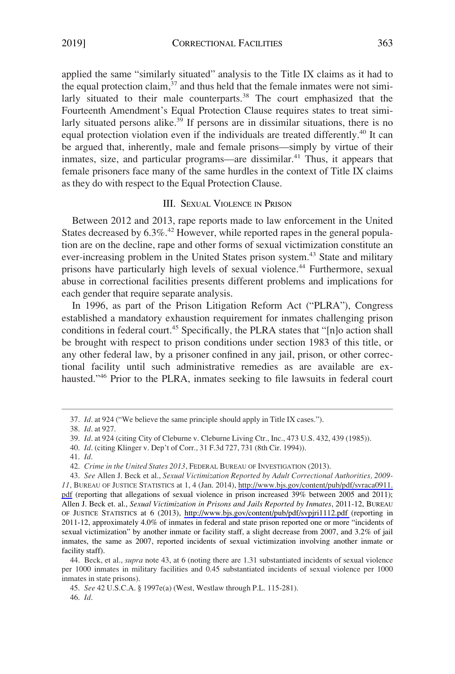<span id="page-6-0"></span>applied the same "similarly situated" analysis to the Title IX claims as it had to the equal protection claim, $37$  and thus held that the female inmates were not similarly situated to their male counterparts.<sup>38</sup> The court emphasized that the Fourteenth Amendment's Equal Protection Clause requires states to treat similarly situated persons alike.<sup>39</sup> If persons are in dissimilar situations, there is no equal protection violation even if the individuals are treated differently.<sup>40</sup> It can be argued that, inherently, male and female prisons—simply by virtue of their inmates, size, and particular programs—are dissimilar. $41$  Thus, it appears that female prisoners face many of the same hurdles in the context of Title IX claims as they do with respect to the Equal Protection Clause.

## III. SEXUAL VIOLENCE IN PRISON

Between 2012 and 2013, rape reports made to law enforcement in the United States decreased by  $6.3\%$ .<sup>42</sup> However, while reported rapes in the general population are on the decline, rape and other forms of sexual victimization constitute an ever-increasing problem in the United States prison system.<sup>43</sup> State and military prisons have particularly high levels of sexual violence.<sup>44</sup> Furthermore, sexual abuse in correctional facilities presents different problems and implications for each gender that require separate analysis.

In 1996, as part of the Prison Litigation Reform Act ("PLRA"), Congress established a mandatory exhaustion requirement for inmates challenging prison conditions in federal court.45 Specifically, the PLRA states that "[n]o action shall be brought with respect to prison conditions under section 1983 of this title, or any other federal law, by a prisoner confined in any jail, prison, or other correctional facility until such administrative remedies as are available are exhausted."<sup>46</sup> Prior to the PLRA, inmates seeking to file lawsuits in federal court

<sup>37.</sup> *Id*. at 924 ("We believe the same principle should apply in Title IX cases.").

<sup>38.</sup> *Id*. at 927.

<sup>39.</sup> *Id*. at 924 (citing City of Cleburne v. Cleburne Living Ctr., Inc., 473 U.S. 432, 439 (1985)).

<sup>40.</sup> *Id*. (citing Klinger v. Dep't of Corr., 31 F.3d 727, 731 (8th Cir. 1994)).

<sup>41.</sup> *Id*.

<sup>42.</sup> *Crime in the United States 2013*, FEDERAL BUREAU OF INVESTIGATION (2013).

*See* Allen J. Beck et al., *Sexual Victimization Reported by Adult Correctional Authorities, 2009-*  43. *11*, BUREAU OF JUSTICE STATISTICS at 1, 4 (Jan. 2014), [http://www.bjs.gov/content/pub/pdf/svraca0911.](http://www.bjs.gov/content/pub/pdf/svraca0911.pdf)  [pdf](http://www.bjs.gov/content/pub/pdf/svraca0911.pdf) (reporting that allegations of sexual violence in prison increased 39% between 2005 and 2011); Allen J. Beck et. al., *Sexual Victimization in Prisons and Jails Reported by Inmates*, 2011-12, BUREAU OF JUSTICE STATISTICS at 6 (2013), <http://www.bjs.gov/content/pub/pdf/svpjri1112.pdf>(reporting in 2011-12, approximately 4.0% of inmates in federal and state prison reported one or more "incidents of sexual victimization" by another inmate or facility staff, a slight decrease from 2007, and 3.2% of jail inmates, the same as 2007, reported incidents of sexual victimization involving another inmate or facility staff).

<sup>44.</sup> Beck, et al., *supra* note 43, at 6 (noting there are 1.31 substantiated incidents of sexual violence per 1000 inmates in military facilities and 0.45 substantiated incidents of sexual violence per 1000 inmates in state prisons).

<sup>45.</sup> *See* 42 U.S.C.A. § 1997e(a) (West, Westlaw through P.L. 115-281).

<sup>46.</sup> *Id*.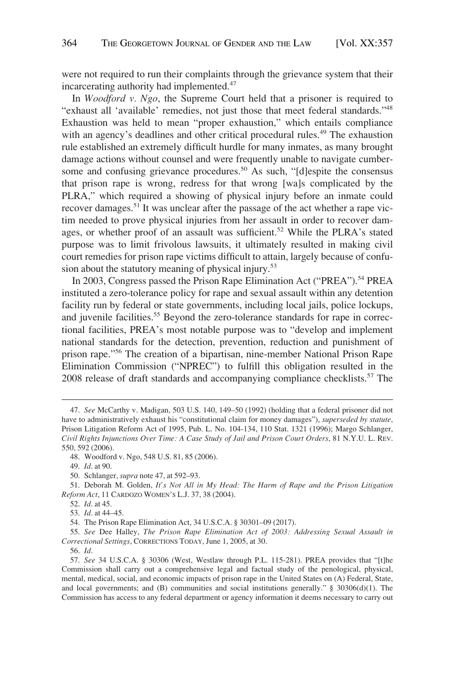were not required to run their complaints through the grievance system that their incarcerating authority had implemented.<sup>47</sup>

In *Woodford v. Ngo*, the Supreme Court held that a prisoner is required to "exhaust all 'available' remedies, not just those that meet federal standards."<sup>48</sup> Exhaustion was held to mean "proper exhaustion," which entails compliance with an agency's deadlines and other critical procedural rules.<sup>49</sup> The exhaustion rule established an extremely difficult hurdle for many inmates, as many brought damage actions without counsel and were frequently unable to navigate cumbersome and confusing grievance procedures.<sup>50</sup> As such, "[d]espite the consensus that prison rape is wrong, redress for that wrong [wa]s complicated by the PLRA," which required a showing of physical injury before an inmate could recover damages.51 It was unclear after the passage of the act whether a rape victim needed to prove physical injuries from her assault in order to recover damages, or whether proof of an assault was sufficient.<sup>52</sup> While the PLRA's stated purpose was to limit frivolous lawsuits, it ultimately resulted in making civil court remedies for prison rape victims difficult to attain, largely because of confusion about the statutory meaning of physical injury.<sup>53</sup>

In 2003, Congress passed the Prison Rape Elimination Act ("PREA").<sup>54</sup> PREA instituted a zero-tolerance policy for rape and sexual assault within any detention facility run by federal or state governments, including local jails, police lockups, and juvenile facilities.<sup>55</sup> Beyond the zero-tolerance standards for rape in correctional facilities, PREA's most notable purpose was to "develop and implement national standards for the detection, prevention, reduction and punishment of prison rape."56 The creation of a bipartisan, nine-member National Prison Rape Elimination Commission ("NPREC") to fulfill this obligation resulted in the 2008 release of draft standards and accompanying compliance checklists.<sup>57</sup> The

55. *See* Dee Halley, *The Prison Rape Elimination Act of 2003: Addressing Sexual Assault in Correctional Settings*, CORRECTIONS TODAY, June 1, 2005, at 30.

56. *Id*.

<sup>47.</sup> *See* McCarthy v. Madigan, 503 U.S. 140, 149–50 (1992) (holding that a federal prisoner did not have to administratively exhaust his "constitutional claim for money damages"), *superseded by statute*, Prison Litigation Reform Act of 1995, Pub. L. No. 104-134, 110 Stat. 1321 (1996); Margo Schlanger, *Civil Rights Injunctions Over Time: A Case Study of Jail and Prison Court Orders*, 81 N.Y.U. L. REV. 550, 592 (2006).

<sup>48.</sup> Woodford v. Ngo, 548 U.S. 81, 85 (2006).

<sup>49.</sup> *Id*. at 90.

<sup>50.</sup> Schlanger, *supra* note 47, at 592–93.

<sup>51.</sup> Deborah M. Golden, *It's Not All in My Head: The Harm of Rape and the Prison Litigation Reform Act*, 11 CARDOZO WOMEN'S L.J. 37, 38 (2004).

<sup>52.</sup> *Id*. at 45.

<sup>53.</sup> *Id*. at 44–45.

<sup>54.</sup> The Prison Rape Elimination Act, 34 U.S.C.A. § 30301–09 (2017).

<sup>57.</sup> *See* 34 U.S.C.A. § 30306 (West, Westlaw through P.L. 115-281). PREA provides that "[t]he Commission shall carry out a comprehensive legal and factual study of the penological, physical, mental, medical, social, and economic impacts of prison rape in the United States on (A) Federal, State, and local governments; and (B) communities and social institutions generally." § 30306(d)(1). The Commission has access to any federal department or agency information it deems necessary to carry out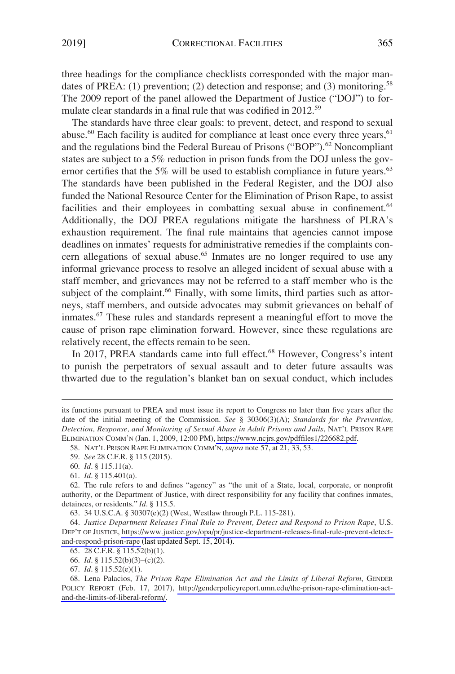three headings for the compliance checklists corresponded with the major mandates of PREA: (1) prevention; (2) detection and response; and (3) monitoring.<sup>58</sup> The 2009 report of the panel allowed the Department of Justice ("DOJ") to formulate clear standards in a final rule that was codified in 2012.<sup>59</sup>

The standards have three clear goals: to prevent, detect, and respond to sexual abuse.<sup>60</sup> Each facility is audited for compliance at least once every three years,  $61$ and the regulations bind the Federal Bureau of Prisons ("BOP").<sup>62</sup> Noncompliant states are subject to a 5% reduction in prison funds from the DOJ unless the governor certifies that the 5% will be used to establish compliance in future years.<sup>63</sup> The standards have been published in the Federal Register, and the DOJ also funded the National Resource Center for the Elimination of Prison Rape, to assist facilities and their employees in combatting sexual abuse in confinement.<sup>64</sup> Additionally, the DOJ PREA regulations mitigate the harshness of PLRA's exhaustion requirement. The final rule maintains that agencies cannot impose deadlines on inmates' requests for administrative remedies if the complaints concern allegations of sexual abuse.<sup>65</sup> Inmates are no longer required to use any informal grievance process to resolve an alleged incident of sexual abuse with a staff member, and grievances may not be referred to a staff member who is the subject of the complaint.<sup>66</sup> Finally, with some limits, third parties such as attorneys, staff members, and outside advocates may submit grievances on behalf of inmates.<sup>67</sup> These rules and standards represent a meaningful effort to move the cause of prison rape elimination forward. However, since these regulations are relatively recent, the effects remain to be seen.

In 2017, PREA standards came into full effect.<sup>68</sup> However, Congress's intent to punish the perpetrators of sexual assault and to deter future assaults was thwarted due to the regulation's blanket ban on sexual conduct, which includes

58. NAT'L PRISON RAPE ELIMINATION COMM'N, *supra* note 57, at 21, 33, 53.

its functions pursuant to PREA and must issue its report to Congress no later than five years after the date of the initial meeting of the Commission. *See* § 30306(3)(A); *Standards for the Prevention, Detection, Response, and Monitoring of Sexual Abuse in Adult Prisons and Jails*, NAT'L PRISON RAPE ELIMINATION COMM'N (Jan. 1, 2009, 12:00 PM),<https://www.ncjrs.gov/pdffiles1/226682.pdf>.

<sup>59.</sup> *See* 28 C.F.R. § 115 (2015).

<sup>60.</sup> *Id*. § 115.11(a).

<sup>61.</sup> *Id*. § 115.401(a).

<sup>62.</sup> The rule refers to and defines "agency" as "the unit of a State, local, corporate, or nonprofit authority, or the Department of Justice, with direct responsibility for any facility that confines inmates, detainees, or residents." *Id*. § 115.5.

<sup>63. 34</sup> U.S.C.A. § 30307(e)(2) (West, Westlaw through P.L. 115-281).

*Justice Department Releases Final Rule to Prevent, Detect and Respond to Prison Rape*, U.S. 64. DEP'T OF JUSTICE, [https://www.justice.gov/opa/pr/justice-department-releases-final-rule-prevent-detect](https://www.justice.gov/opa/pr/justice-department-releases-final-rule-prevent-detect-and-respond-prison-rape)[and-respond-prison-rape](https://www.justice.gov/opa/pr/justice-department-releases-final-rule-prevent-detect-and-respond-prison-rape) (last updated Sept. 15, 2014).

<sup>65. 28</sup> C.F.R. § 115.52(b)(1).

<sup>66.</sup> *Id*. § 115.52(b)(3)–(c)(2).

<sup>67.</sup> *Id*. § 115.52(e)(1).

<sup>68.</sup> Lena Palacios, The Prison Rape Elimination Act and the Limits of Liberal Reform, GENDER POLICY REPORT (Feb. 17, 2017), [http://genderpolicyreport.umn.edu/the-prison-rape-elimination-act](http://genderpolicyreport.umn.edu/the-prison-rape-elimination-act-and-the-limits-of-liberal-reform/)[and-the-limits-of-liberal-reform/.](http://genderpolicyreport.umn.edu/the-prison-rape-elimination-act-and-the-limits-of-liberal-reform/)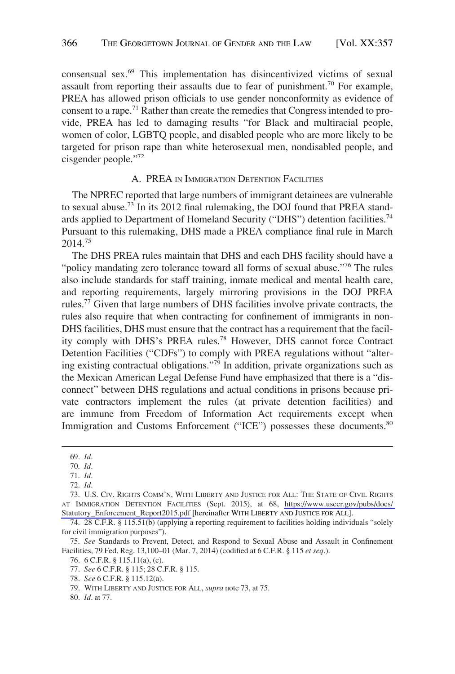<span id="page-9-0"></span>consensual sex.69 This implementation has disincentivized victims of sexual assault from reporting their assaults due to fear of punishment.<sup>70</sup> For example, PREA has allowed prison officials to use gender nonconformity as evidence of consent to a rape.71 Rather than create the remedies that Congress intended to provide, PREA has led to damaging results "for Black and multiracial people, women of color, LGBTQ people, and disabled people who are more likely to be targeted for prison rape than white heterosexual men, nondisabled people, and cisgender people."72

## A. PREA IN IMMIGRATION DETENTION FACILITIES

The NPREC reported that large numbers of immigrant detainees are vulnerable to sexual abuse.<sup>73</sup> In its 2012 final rulemaking, the DOJ found that PREA standards applied to Department of Homeland Security ("DHS") detention facilities.<sup>74</sup> Pursuant to this rulemaking, DHS made a PREA compliance final rule in March 2014.75

The DHS PREA rules maintain that DHS and each DHS facility should have a "policy mandating zero tolerance toward all forms of sexual abuse."<sup>76</sup> The rules also include standards for staff training, inmate medical and mental health care, and reporting requirements, largely mirroring provisions in the DOJ PREA rules.77 Given that large numbers of DHS facilities involve private contracts, the rules also require that when contracting for confinement of immigrants in non-DHS facilities, DHS must ensure that the contract has a requirement that the facility comply with DHS's PREA rules.78 However, DHS cannot force Contract Detention Facilities ("CDFs") to comply with PREA regulations without "altering existing contractual obligations."79 In addition, private organizations such as the Mexican American Legal Defense Fund have emphasized that there is a "disconnect" between DHS regulations and actual conditions in prisons because private contractors implement the rules (at private detention facilities) and are immune from Freedom of Information Act requirements except when Immigration and Customs Enforcement ("ICE") possesses these documents.<sup>80</sup>

80. *Id*. at 77.

<sup>69.</sup> *Id*.

<sup>70.</sup> *Id*.

<sup>71.</sup> *Id*.

<sup>72.</sup> *Id*.

U.S. CIV. RIGHTS COMM'N, WITH LIBERTY AND JUSTICE FOR ALL: THE STATE OF CIVIL RIGHTS 73. AT IMMIGRATION DETENTION FACILITIES (Sept. 2015), at 68, [https://www.usccr.gov/pubs/docs/](https://www.usccr.gov/pubs/docs/Statutory_Enforcement_Report2015.pdf)  [Statutory\\_Enforcement\\_Report2015.pdf](https://www.usccr.gov/pubs/docs/Statutory_Enforcement_Report2015.pdf) [hereinafter WITH LIBERTY AND JUSTICE FOR ALL].

<sup>74. 28</sup> C.F.R. § 115.51(b) (applying a reporting requirement to facilities holding individuals "solely for civil immigration purposes").

<sup>75.</sup> *See* Standards to Prevent, Detect, and Respond to Sexual Abuse and Assault in Confinement Facilities, 79 Fed. Reg. 13,100–01 (Mar. 7, 2014) (codified at 6 C.F.R. § 115 *et seq*.).

<sup>76. 6</sup> C.F.R. § 115.11(a), (c).

<sup>77.</sup> *See* 6 C.F.R. § 115; 28 C.F.R. § 115.

<sup>78.</sup> *See* 6 C.F.R. § 115.12(a).

<sup>79.</sup> WITH LIBERTY AND JUSTICE FOR ALL, *supra* note 73, at 75.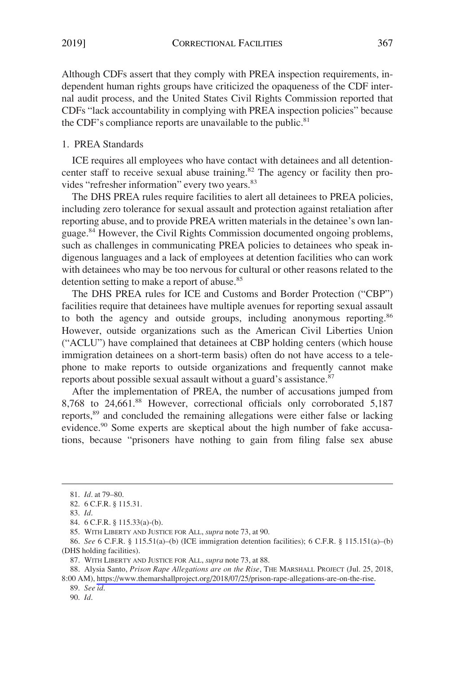<span id="page-10-0"></span>Although CDFs assert that they comply with PREA inspection requirements, independent human rights groups have criticized the opaqueness of the CDF internal audit process, and the United States Civil Rights Commission reported that CDFs "lack accountability in complying with PREA inspection policies" because the CDF's compliance reports are unavailable to the public. $81$ 

## 1. PREA Standards

ICE requires all employees who have contact with detainees and all detentioncenter staff to receive sexual abuse training.<sup>82</sup> The agency or facility then provides "refresher information" every two years.<sup>83</sup>

The DHS PREA rules require facilities to alert all detainees to PREA policies, including zero tolerance for sexual assault and protection against retaliation after reporting abuse, and to provide PREA written materials in the detainee's own language.84 However, the Civil Rights Commission documented ongoing problems, such as challenges in communicating PREA policies to detainees who speak indigenous languages and a lack of employees at detention facilities who can work with detainees who may be too nervous for cultural or other reasons related to the detention setting to make a report of abuse.<sup>85</sup>

The DHS PREA rules for ICE and Customs and Border Protection ("CBP") facilities require that detainees have multiple avenues for reporting sexual assault to both the agency and outside groups, including anonymous reporting.<sup>86</sup> However, outside organizations such as the American Civil Liberties Union ("ACLU") have complained that detainees at CBP holding centers (which house immigration detainees on a short-term basis) often do not have access to a telephone to make reports to outside organizations and frequently cannot make reports about possible sexual assault without a guard's assistance.<sup>87</sup>

After the implementation of PREA, the number of accusations jumped from 8,768 to 24,661.88 However, correctional officials only corroborated 5,187 reports,89 and concluded the remaining allegations were either false or lacking evidence.<sup>90</sup> Some experts are skeptical about the high number of fake accusations, because "prisoners have nothing to gain from filing false sex abuse

88. Alysia Santo, *Prison Rape Allegations are on the Rise*, THE MARSHALL PROJECT (Jul. 25, 2018,

8:00 AM), [https://www.themarshallproject.org/2018/07/25/prison-rape-allegations-are-on-the-rise.](https://www.themarshallproject.org/2018/07/25/prison-rape-allegations-are-on-the-rise)

89. *See id*.

<sup>81.</sup> *Id*. at 79–80.

<sup>82. 6</sup> C.F.R. § 115.31.

<sup>83.</sup> *Id*.

<sup>84. 6</sup> C.F.R. § 115.33(a)-(b).

<sup>85.</sup> WITH LIBERTY AND JUSTICE FOR ALL, *supra* note 73, at 90.

<sup>86.</sup> *See* 6 C.F.R. § 115.51(a)–(b) (ICE immigration detention facilities); 6 C.F.R. § 115.151(a)–(b) (DHS holding facilities).

<sup>87.</sup> WITH LIBERTY AND JUSTICE FOR ALL, *supra* note 73, at 88.

<sup>90.</sup> *Id*.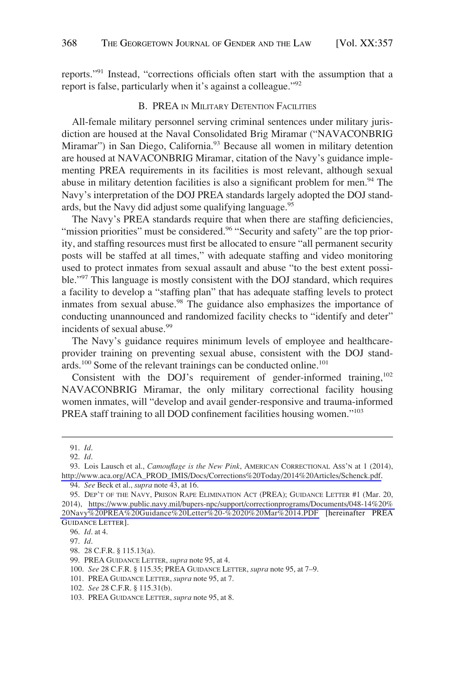<span id="page-11-0"></span>reports."91 Instead, "corrections officials often start with the assumption that a report is false, particularly when it's against a colleague."<sup>92</sup>

## B. PREA IN MILITARY DETENTION FACILITIES

All-female military personnel serving criminal sentences under military jurisdiction are housed at the Naval Consolidated Brig Miramar ("NAVACONBRIG Miramar") in San Diego, California.<sup>93</sup> Because all women in military detention are housed at NAVACONBRIG Miramar, citation of the Navy's guidance implementing PREA requirements in its facilities is most relevant, although sexual abuse in military detention facilities is also a significant problem for men.<sup>94</sup> The Navy's interpretation of the DOJ PREA standards largely adopted the DOJ standards, but the Navy did adjust some qualifying language.<sup>95</sup>

The Navy's PREA standards require that when there are staffing deficiencies, "mission priorities" must be considered.<sup>96</sup> "Security and safety" are the top priority, and staffing resources must first be allocated to ensure "all permanent security posts will be staffed at all times," with adequate staffing and video monitoring used to protect inmates from sexual assault and abuse "to the best extent possible."97 This language is mostly consistent with the DOJ standard, which requires a facility to develop a "staffing plan" that has adequate staffing levels to protect inmates from sexual abuse.<sup>98</sup> The guidance also emphasizes the importance of conducting unannounced and randomized facility checks to "identify and deter" incidents of sexual abuse.<sup>99</sup>

The Navy's guidance requires minimum levels of employee and healthcareprovider training on preventing sexual abuse, consistent with the DOJ standards.<sup>100</sup> Some of the relevant trainings can be conducted online.<sup>101</sup>

Consistent with the DOJ's requirement of gender-informed training, $102$ NAVACONBRIG Miramar, the only military correctional facility housing women inmates, will "develop and avail gender-responsive and trauma-informed PREA staff training to all DOD confinement facilities housing women."<sup>103</sup>

<sup>91.</sup> *Id*.

<sup>92.</sup> *Id*.

<sup>93.</sup> Lois Lausch et al., *Camouflage is the New Pink*, AMERICAN CORRECTIONAL ASS'N at 1 (2014), [http://www.aca.org/ACA\\_PROD\\_IMIS/Docs/Corrections%20Today/2014%20Articles/Schenck.pdf.](http://www.aca.org/ACA_PROD_IMIS/Docs/Corrections%20Today/2014%20Articles/Schenck.pdf)

<sup>94.</sup> *See* Beck et al., *supra* note 43, at 16.

<sup>95.</sup> DEP'T OF THE NAVY, PRISON RAPE ELIMINATION ACT (PREA); GUIDANCE LETTER #1 (Mar. 20, 2014), [https://www.public.navy.mil/bupers-npc/support/correctionprograms/Documents/048-14%20%](https://www.public.navy.mil/bupers-npc/support/correctionprograms/Documents/048-14%20%20Navy%20PREA%20Guidance%20Letter%20-%2020%20Mar%2014.PDF)  [20Navy%20PREA%20Guidance%20Letter%20-%2020%20Mar%2014.PDF](https://www.public.navy.mil/bupers-npc/support/correctionprograms/Documents/048-14%20%20Navy%20PREA%20Guidance%20Letter%20-%2020%20Mar%2014.PDF) [hereinafter PREA GUIDANCE LETTER].

<sup>96.</sup> *Id*. at 4.

<sup>97.</sup> *Id*.

<sup>98. 28</sup> C.F.R. § 115.13(a).

<sup>99.</sup> PREA GUIDANCE LETTER, *supra* note 95, at 4.

<sup>100.</sup> *See* 28 C.F.R. § 115.35; PREA GUIDANCE LETTER, *supra* note 95, at 7–9.

<sup>101.</sup> PREA GUIDANCE LETTER, *supra* note 95, at 7.

<sup>102.</sup> *See* 28 C.F.R. § 115.31(b).

<sup>103.</sup> PREA GUIDANCE LETTER, *supra* note 95, at 8.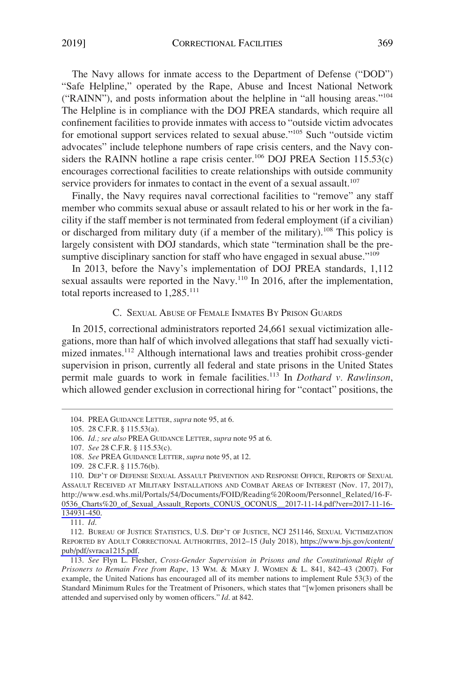<span id="page-12-0"></span>The Navy allows for inmate access to the Department of Defense ("DOD") "Safe Helpline," operated by the Rape, Abuse and Incest National Network ("RAINN"), and posts information about the helpline in "all housing areas."<sup>104</sup> The Helpline is in compliance with the DOJ PREA standards, which require all confinement facilities to provide inmates with access to "outside victim advocates for emotional support services related to sexual abuse."105 Such "outside victim advocates" include telephone numbers of rape crisis centers, and the Navy considers the RAINN hotline a rape crisis center.<sup>106</sup> DOJ PREA Section 115.53(c) encourages correctional facilities to create relationships with outside community service providers for inmates to contact in the event of a sexual assault.<sup>107</sup>

Finally, the Navy requires naval correctional facilities to "remove" any staff member who commits sexual abuse or assault related to his or her work in the facility if the staff member is not terminated from federal employment (if a civilian) or discharged from military duty (if a member of the military).<sup>108</sup> This policy is largely consistent with DOJ standards, which state "termination shall be the presumptive disciplinary sanction for staff who have engaged in sexual abuse."<sup>109</sup>

In 2013, before the Navy's implementation of DOJ PREA standards, 1,112 sexual assaults were reported in the Navy.<sup>110</sup> In 2016, after the implementation, total reports increased to  $1,285$ <sup>111</sup>

## C. SEXUAL ABUSE OF FEMALE INMATES BY PRISON GUARDS

In 2015, correctional administrators reported 24,661 sexual victimization allegations, more than half of which involved allegations that staff had sexually victimized inmates.<sup>112</sup> Although international laws and treaties prohibit cross-gender supervision in prison, currently all federal and state prisons in the United States permit male guards to work in female facilities.113 In *Dothard v. Rawlinson*, which allowed gender exclusion in correctional hiring for "contact" positions, the

<sup>104.</sup> PREA GUIDANCE LETTER, *supra* note 95, at 6.

<sup>105. 28</sup> C.F.R. § 115.53(a).

<sup>106.</sup> *Id.; see also* PREA GUIDANCE LETTER, *supra* note 95 at 6.

<sup>107.</sup> *See* 28 C.F.R. § 115.53(c).

<sup>108.</sup> *See* PREA GUIDANCE LETTER, *supra* note 95, at 12.

<sup>109. 28</sup> C.F.R. § 115.76(b).

<sup>110.</sup> DEP'T OF DEFENSE SEXUAL ASSAULT PREVENTION AND RESPONSE OFFICE, REPORTS OF SEXUAL ASSAULT RECEIVED AT MILITARY INSTALLATIONS AND COMBAT AREAS OF INTEREST (Nov. 17, 2017), http://www.esd.whs.mil/Portals/54/Documents/FOID/Reading%20Room/Personnel\_Related/16-F-[0536\\_Charts%20\\_of\\_Sexual\\_Assault\\_Reports\\_CONUS\\_OCONUS\\_\\_2017-11-14.pdf?ver=2017-11-16-](http://www.esd.whs.mil/Portals/54/Documents/FOID/Reading%20Room/Personnel_Related/16-F-0536_Charts%20_of_Sexual_Assault_Reports_CONUS_OCONUS__2017-11-14.pdf?ver=2017-11-16-134931-450)  [134931-450.](http://www.esd.whs.mil/Portals/54/Documents/FOID/Reading%20Room/Personnel_Related/16-F-0536_Charts%20_of_Sexual_Assault_Reports_CONUS_OCONUS__2017-11-14.pdf?ver=2017-11-16-134931-450)

<sup>111.</sup> *Id*.

<sup>112.</sup> BUREAU OF JUSTICE STATISTICS, U.S. DEP'T OF JUSTICE, NCJ 251146, SEXUAL VICTIMIZATION REPORTED BY ADULT CORRECTIONAL AUTHORITIES, 2012–15 (July 2018), [https://www.bjs.gov/content/](https://www.bjs.gov/content/pub/pdf/svraca1215.pdf)  [pub/pdf/svraca1215.pdf.](https://www.bjs.gov/content/pub/pdf/svraca1215.pdf)

<sup>113.</sup> *See* Flyn L. Flesher, *Cross-Gender Supervision in Prisons and the Constitutional Right of Prisoners to Remain Free from Rape*, 13 WM. & MARY J. WOMEN & L. 841, 842–43 (2007). For example, the United Nations has encouraged all of its member nations to implement Rule 53(3) of the Standard Minimum Rules for the Treatment of Prisoners, which states that "[w]omen prisoners shall be attended and supervised only by women officers." *Id*. at 842.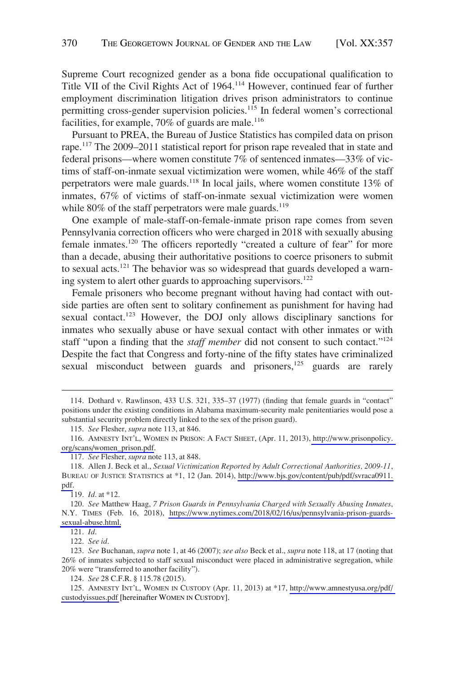Supreme Court recognized gender as a bona fide occupational qualification to Title VII of the Civil Rights Act of 1964.114 However, continued fear of further employment discrimination litigation drives prison administrators to continue permitting cross-gender supervision policies.<sup>115</sup> In federal women's correctional facilities, for example,  $70\%$  of guards are male.<sup>116</sup>

Pursuant to PREA, the Bureau of Justice Statistics has compiled data on prison rape.<sup>117</sup> The 2009–2011 statistical report for prison rape revealed that in state and federal prisons—where women constitute 7% of sentenced inmates—33% of victims of staff-on-inmate sexual victimization were women, while 46% of the staff perpetrators were male guards.<sup>118</sup> In local jails, where women constitute 13% of inmates, 67% of victims of staff-on-inmate sexual victimization were women while  $80\%$  of the staff perpetrators were male guards.<sup>119</sup>

One example of male-staff-on-female-inmate prison rape comes from seven Pennsylvania correction officers who were charged in 2018 with sexually abusing female inmates.<sup>120</sup> The officers reportedly "created a culture of fear" for more than a decade, abusing their authoritative positions to coerce prisoners to submit to sexual acts.121 The behavior was so widespread that guards developed a warning system to alert other guards to approaching supervisors.<sup>122</sup>

Female prisoners who become pregnant without having had contact with outside parties are often sent to solitary confinement as punishment for having had sexual contact.<sup>123</sup> However, the DOJ only allows disciplinary sanctions for inmates who sexually abuse or have sexual contact with other inmates or with staff "upon a finding that the *staff member* did not consent to such contact."124 Despite the fact that Congress and forty-nine of the fifty states have criminalized sexual misconduct between guards and prisoners, $125$  guards are rarely

119. *Id*. at \*12.

121. *Id*.

122. *See id*.

123. *See* Buchanan, *supra* note 1, at 46 (2007); *see also* Beck et al., *supra* note 118, at 17 (noting that 26% of inmates subjected to staff sexual misconduct were placed in administrative segregation, while 20% were "transferred to another facility").

124. *See* 28 C.F.R. § 115.78 (2015).

125. AMNESTY INT'L, WOMEN IN CUSTODY (Apr. 11, 2013) at \*17, http://www.amnestyusa.org/pdf/ [custodyissues.pdf](http://www.amnestyusa.org/pdf/custodyissues.pdf) [hereinafter WOMEN IN CUSTODY].

<sup>114.</sup> Dothard v. Rawlinson, 433 U.S. 321, 335–37 (1977) (finding that female guards in "contact" positions under the existing conditions in Alabama maximum-security male penitentiaries would pose a substantial security problem directly linked to the sex of the prison guard).

<sup>115.</sup> *See* Flesher, *supra* note 113, at 846.

<sup>116.</sup> AMNESTY INT'L, WOMEN IN PRISON: A FACT SHEET, (Apr. 11, 2013), http://www.prisonpolicy. [org/scans/women\\_prison.pdf.](http://www.prisonpolicy.org/scans/women_prison.pdf)

<sup>117.</sup> *See* Flesher, *supra* note 113, at 848.

Allen J. Beck et al., *Sexual Victimization Reported by Adult Correctional Authorities, 2009-11*, 118. BUREAU OF JUSTICE STATISTICS at \*1, 12 (Jan. 2014), [http://www.bjs.gov/content/pub/pdf/svraca0911.](http://www.bjs.gov/content/pub/pdf/svraca0911.pdf)  [pdf.](http://www.bjs.gov/content/pub/pdf/svraca0911.pdf)

*See* Matthew Haag, *7 Prison Guards in Pennsylvania Charged with Sexually Abusing Inmates*, 120. N.Y. TIMES (Feb. 16, 2018), [https://www.nytimes.com/2018/02/16/us/pennsylvania-prison-guards](https://www.nytimes.com/2018/02/16/us/pennsylvania-prison-guards-sexual-abuse.html)[sexual-abuse.html.](https://www.nytimes.com/2018/02/16/us/pennsylvania-prison-guards-sexual-abuse.html)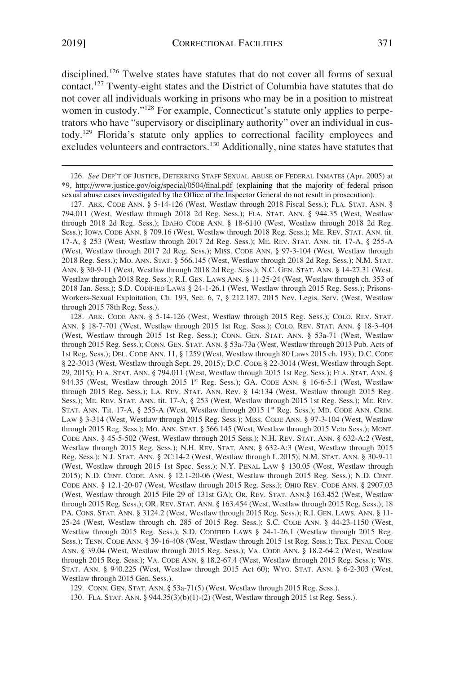disciplined.<sup>126</sup> Twelve states have statutes that do not cover all forms of sexual contact.127 Twenty-eight states and the District of Columbia have statutes that do not cover all individuals working in prisons who may be in a position to mistreat women in custody."<sup>128</sup> For example, Connecticut's statute only applies to perpetrators who have "supervisory or disciplinary authority" over an individual in custody.129 Florida's statute only applies to correctional facility employees and excludes volunteers and contractors.<sup>130</sup> Additionally, nine states have statutes that

127. ARK. CODE ANN. § 5-14-126 (West, Westlaw through 2018 Fiscal Sess.); FLA. STAT. ANN. § 794.011 (West, Westlaw through 2018 2d Reg. Sess.); FLA. STAT. ANN. § 944.35 (West, Westlaw through 2018 2d Reg. Sess.); IDAHO CODE ANN. § 18-6110 (West, Westlaw through 2018 2d Reg. Sess.); IOWA CODE ANN. § 709.16 (West, Westlaw through 2018 Reg. Sess.); ME. REV. STAT. ANN. tit. 17-A, § 253 (West, Westlaw through 2017 2d Reg. Sess.); ME. REV. STAT. ANN. tit. 17-A, § 255-A (West, Westlaw through 2017 2d Reg. Sess.); MISS. CODE ANN. § 97-3-104 (West, Westlaw through 2018 Reg. Sess.); MO. ANN. STAT. § 566.145 (West, Westlaw through 2018 2d Reg. Sess.); N.M. STAT. ANN. § 30-9-11 (West, Westlaw through 2018 2d Reg. Sess.); N.C. GEN. STAT. ANN. § 14-27.31 (West, Westlaw through 2018 Reg. Sess.); R.I. GEN. LAWS ANN. § 11-25-24 (West, Westlaw through ch. 353 of 2018 Jan. Sess.); S.D. CODIFIED LAWS § 24-1-26.1 (West, Westlaw through 2015 Reg. Sess.); Prisons-Workers-Sexual Exploitation, Ch. 193, Sec. 6, 7, § 212.187, 2015 Nev. Legis. Serv. (West, Westlaw through 2015 78th Reg. Sess.).

128. ARK. CODE ANN. § 5-14-126 (West, Westlaw through 2015 Reg. Sess.); COLO. REV. STAT. ANN. § 18-7-701 (West, Westlaw through 2015 1st Reg. Sess.); COLO. REV. STAT. ANN. § 18-3-404 (West, Westlaw through 2015 1st Reg. Sess.); CONN. GEN. STAT. ANN. § 53a-71 (West, Westlaw through 2015 Reg. Sess.); CONN. GEN. STAT. ANN. § 53a-73a (West, Westlaw through 2013 Pub. Acts of 1st Reg. Sess.); DEL. CODE ANN. 11, § 1259 (West, Westlaw through 80 Laws 2015 ch. 193); D.C. CODE § 22-3013 (West, Westlaw through Sept. 29, 2015); D.C. CODE § 22-3014 (West, Westlaw through Sept. 29, 2015); FLA. STAT. ANN. § 794.011 (West, Westlaw through 2015 1st Reg. Sess.); FLA. STAT. ANN. § 944.35 (West, Westlaw through 2015 1st Reg. Sess.); GA. CODE ANN. § 16-6-5.1 (West, Westlaw through 2015 Reg. Sess.); LA. REV. STAT. ANN. Rev. § 14:134 (West, Westlaw through 2015 Reg. Sess.); ME. REV. STAT. ANN. tit. 17-A, § 253 (West, Westlaw through 2015 1st Reg. Sess.); ME. REV. STAT. ANN. Tit. 17-A, § 255-A (West, Westlaw through 2015 1<sup>st</sup> Reg. Sess.); MD. CODE ANN. CRIM. LAW § 3-314 (West, Westlaw through 2015 Reg. Sess.); MISS. CODE ANN. § 97-3-104 (West, Westlaw through 2015 Reg. Sess.); MO. ANN. STAT. § 566.145 (West, Westlaw through 2015 Veto Sess.); MONT. CODE ANN. § 45-5-502 (West, Westlaw through 2015 Sess.); N.H. REV. STAT. ANN. § 632-A:2 (West, Westlaw through 2015 Reg. Sess.); N.H. REV. STAT. ANN. § 632-A:3 (West, Westlaw through 2015 Reg. Sess.); N.J. STAT. ANN. § 2C:14-2 (West, Westlaw through L.2015); N.M. STAT. ANN. § 30-9-11 (West, Westlaw through 2015 1st Spec. Sess.); N.Y. PENAL LAW § 130.05 (West, Westlaw through 2015); N.D. CENT. CODE. ANN. § 12.1-20-06 (West, Westlaw through 2015 Reg. Sess.); N.D. CENT. CODE ANN. § 12.1-20-07 (West, Westlaw through 2015 Reg. Sess.); OHIO REV. CODE ANN. § 2907.03 (West, Westlaw through 2015 File 29 of 131st GA); OR. REV. STAT. ANN.§ 163.452 (West, Westlaw through 2015 Reg. Sess.); OR. REV. STAT. ANN. § 163.454 (West, Westlaw through 2015 Reg. Sess.); 18 PA. CONS. STAT. ANN. § 3124.2 (West, Westlaw through 2015 Reg. Sess.); R.I. GEN. LAWS. ANN. § 11- 25-24 (West, Westlaw through ch. 285 of 2015 Reg. Sess.); S.C. CODE ANN. § 44-23-1150 (West, Westlaw through 2015 Reg. Sess.); S.D. CODIFIED LAWS § 24-1-26.1 (Westlaw through 2015 Reg. Sess.); TENN. CODE ANN. § 39-16-408 (West, Westlaw through 2015 1st Reg. Sess.); TEX. PENAL CODE ANN. § 39.04 (West, Westlaw through 2015 Reg. Sess.); VA. CODE ANN. § 18.2-64.2 (West, Westlaw through 2015 Reg. Sess.); VA. CODE ANN. § 18.2-67.4 (West, Westlaw through 2015 Reg. Sess.); WIS. STAT. ANN. § 940.225 (West, Westlaw through 2015 Act 60); WYO. STAT. ANN. § 6-2-303 (West, Westlaw through 2015 Gen. Sess.).

129. CONN. GEN. STAT. ANN. § 53a-71(5) (West, Westlaw through 2015 Reg. Sess.).

130. FLA. STAT. ANN. § 944.35(3)(b)(1)-(2) (West, Westlaw through 2015 1st Reg. Sess.).

<sup>126.</sup> See DEP'T OF JUSTICE, DETERRING STAFF SEXUAL ABUSE OF FEDERAL INMATES (Apr. 2005) at \*9, <http://www.justice.gov/oig/special/0504/final.pdf> (explaining that the majority of federal prison sexual abuse cases investigated by the Office of the Inspector General do not result in prosecution).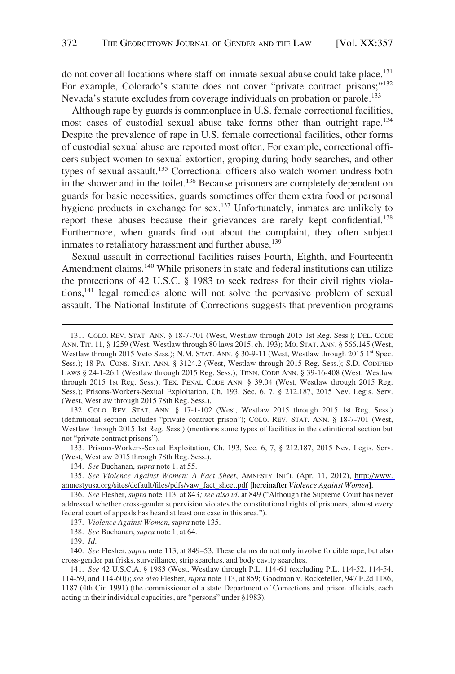do not cover all locations where staff-on-inmate sexual abuse could take place.<sup>131</sup> For example, Colorado's statute does not cover "private contract prisons;"<sup>132</sup> Nevada's statute excludes from coverage individuals on probation or parole.<sup>133</sup>

Although rape by guards is commonplace in U.S. female correctional facilities, most cases of custodial sexual abuse take forms other than outright rape.<sup>134</sup> Despite the prevalence of rape in U.S. female correctional facilities, other forms of custodial sexual abuse are reported most often. For example, correctional officers subject women to sexual extortion, groping during body searches, and other types of sexual assault.<sup>135</sup> Correctional officers also watch women undress both in the shower and in the toilet.<sup>136</sup> Because prisoners are completely dependent on guards for basic necessities, guards sometimes offer them extra food or personal hygiene products in exchange for sex.<sup>137</sup> Unfortunately, inmates are unlikely to report these abuses because their grievances are rarely kept confidential.<sup>138</sup> Furthermore, when guards find out about the complaint, they often subject inmates to retaliatory harassment and further abuse.<sup>139</sup>

Sexual assault in correctional facilities raises Fourth, Eighth, and Fourteenth Amendment claims.<sup>140</sup> While prisoners in state and federal institutions can utilize the protections of 42 U.S.C. § 1983 to seek redress for their civil rights violations,141 legal remedies alone will not solve the pervasive problem of sexual assault. The National Institute of Corrections suggests that prevention programs

132. COLO. REV. STAT. ANN. § 17-1-102 (West, Westlaw 2015 through 2015 1st Reg. Sess.) (definitional section includes "private contract prison"); COLO. REV. STAT. ANN. § 18-7-701 (West, Westlaw through 2015 1st Reg. Sess.) (mentions some types of facilities in the definitional section but not "private contract prisons").

133. Prisons-Workers-Sexual Exploitation, Ch. 193, Sec. 6, 7, § 212.187, 2015 Nev. Legis. Serv. (West, Westlaw 2015 through 78th Reg. Sess.).

136. *See* Flesher, *supra* note 113, at 843*; see also id*. at 849 ("Although the Supreme Court has never addressed whether cross-gender supervision violates the constitutional rights of prisoners, almost every federal court of appeals has heard at least one case in this area.").

138. *See* Buchanan, *supra* note 1, at 64.

140. *See* Flesher, *supra* note 113, at 849–53. These claims do not only involve forcible rape, but also cross-gender pat frisks, surveillance, strip searches, and body cavity searches.

141. *See* 42 U.S.C.A. § 1983 (West, Westlaw through P.L. 114-61 (excluding P.L. 114-52, 114-54, 114-59, and 114-60)); *see also* Flesher, *supra* note 113, at 859; Goodmon v. Rockefeller, 947 F.2d 1186, 1187 (4th Cir. 1991) (the commissioner of a state Department of Corrections and prison officials, each acting in their individual capacities, are "persons" under §1983).

<sup>131.</sup> COLO. REV. STAT. ANN. § 18-7-701 (West, Westlaw through 2015 1st Reg. Sess.); DEL. CODE ANN. TIT. 11, § 1259 (West, Westlaw through 80 laws 2015, ch. 193); MO. STAT. ANN. § 566.145 (West, Westlaw through 2015 Veto Sess.); N.M. STAT. ANN. § 30-9-11 (West, Westlaw through 2015 1st Spec. Sess.); 18 PA. CONS. STAT. ANN. § 3124.2 (West, Westlaw through 2015 Reg. Sess.); S.D. CODIFIED LAWS § 24-1-26.1 (Westlaw through 2015 Reg. Sess.); TENN. CODE ANN. § 39-16-408 (West, Westlaw through 2015 1st Reg. Sess.); TEX. PENAL CODE ANN. § 39.04 (West, Westlaw through 2015 Reg. Sess.); Prisons-Workers-Sexual Exploitation, Ch. 193, Sec. 6, 7, § 212.187, 2015 Nev. Legis. Serv. (West, Westlaw through 2015 78th Reg. Sess.).

<sup>134.</sup> *See* Buchanan, *supra* note 1, at 55.

<sup>135.</sup> See Violence Against Women: A Fact Sheet, AMNESTY INT'L (Apr. 11, 2012), http://www. [amnestyusa.org/sites/default/files/pdfs/vaw\\_fact\\_sheet.pdf](http://www.amnestyusa.org/sites/default/files/pdfs/vaw_fact_sheet.pdf) [hereinafter *Violence Against Women*].

<sup>137.</sup> *Violence Against Women*, *supra* note 135.

<sup>139.</sup> *Id*.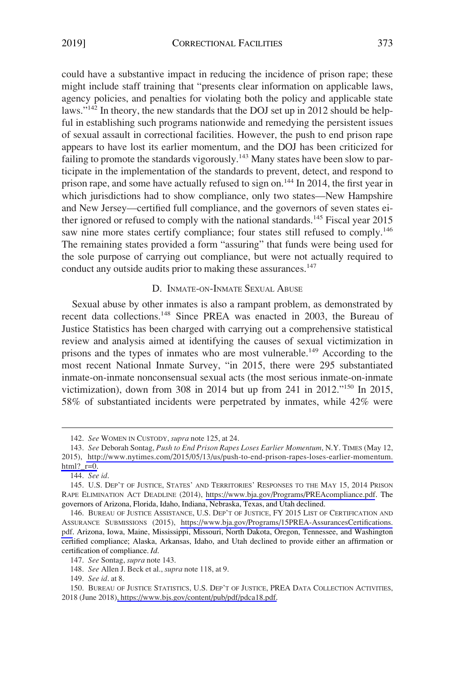<span id="page-16-0"></span>could have a substantive impact in reducing the incidence of prison rape; these might include staff training that "presents clear information on applicable laws, agency policies, and penalties for violating both the policy and applicable state laws."<sup>142</sup> In theory, the new standards that the DOJ set up in 2012 should be helpful in establishing such programs nationwide and remedying the persistent issues of sexual assault in correctional facilities. However, the push to end prison rape appears to have lost its earlier momentum, and the DOJ has been criticized for failing to promote the standards vigorously.<sup>143</sup> Many states have been slow to participate in the implementation of the standards to prevent, detect, and respond to prison rape, and some have actually refused to sign on.<sup>144</sup> In 2014, the first year in which jurisdictions had to show compliance, only two states—New Hampshire and New Jersey—certified full compliance, and the governors of seven states either ignored or refused to comply with the national standards.<sup>145</sup> Fiscal year 2015 saw nine more states certify compliance; four states still refused to comply.<sup>146</sup> The remaining states provided a form "assuring" that funds were being used for the sole purpose of carrying out compliance, but were not actually required to conduct any outside audits prior to making these assurances.<sup>147</sup>

## D. INMATE-ON-INMATE SEXUAL ABUSE

Sexual abuse by other inmates is also a rampant problem, as demonstrated by recent data collections.148 Since PREA was enacted in 2003, the Bureau of Justice Statistics has been charged with carrying out a comprehensive statistical review and analysis aimed at identifying the causes of sexual victimization in prisons and the types of inmates who are most vulnerable.149 According to the most recent National Inmate Survey, "in 2015, there were 295 substantiated inmate-on-inmate nonconsensual sexual acts (the most serious inmate-on-inmate victimization), down from 308 in 2014 but up from 241 in 2012."150 In 2015, 58% of substantiated incidents were perpetrated by inmates, while 42% were

<sup>142.</sup> *See* WOMEN IN CUSTODY, *supra* note 125, at 24.

*See* Deborah Sontag, *Push to End Prison Rapes Loses Earlier Momentum*, N.Y. TIMES (May 12, 143. 2015), [http://www.nytimes.com/2015/05/13/us/push-to-end-prison-rapes-loses-earlier-momentum.](http://www.nytimes.com/2015/05/13/us/push-to-end-prison-rapes-loses-earlier-momentum.html?_r=0)  $html?$   $r=0$ .

<sup>144.</sup> *See id*.

<sup>145.</sup> U.S. DEP'T OF JUSTICE, STATES' AND TERRITORIES' RESPONSES TO THE MAY 15, 2014 PRISON RAPE ELIMINATION ACT DEADLINE (2014), <https://www.bja.gov/Programs/PREAcompliance.pdf>. The governors of Arizona, Florida, Idaho, Indiana, Nebraska, Texas, and Utah declined.

<sup>146.</sup> BUREAU OF JUSTICE ASSISTANCE, U.S. DEP'T OF JUSTICE, FY 2015 LIST OF CERTIFICATION AND ASSURANCE SUBMISSIONS (2015), [https://www.bja.gov/Programs/15PREA-AssurancesCertifications.](https://www.bja.gov/Programs/15PREA-AssurancesCertifications.pdf)  [pdf.](https://www.bja.gov/Programs/15PREA-AssurancesCertifications.pdf) Arizona, Iowa, Maine, Mississippi, Missouri, North Dakota, Oregon, Tennessee, and Washington certified compliance; Alaska, Arkansas, Idaho, and Utah declined to provide either an affirmation or certification of compliance. *Id*.

<sup>147.</sup> *See* Sontag, *supra* note 143.

<sup>148.</sup> *See* Allen J. Beck et al., *supra* note 118, at 9.

<sup>149.</sup> *See id*. at 8.

<sup>150.</sup> BUREAU OF JUSTICE STATISTICS, U.S. DEP'T OF JUSTICE, PREA DATA COLLECTION ACTIVITIES, 2018 (June 2018)[, https://www.bjs.gov/content/pub/pdf/pdca18.pdf.](https://www.bjs.gov/content/pub/pdf/pdca18.pdf)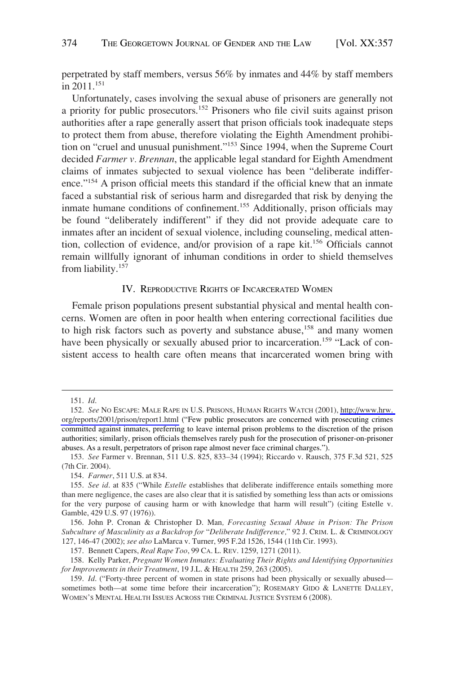<span id="page-17-0"></span>perpetrated by staff members, versus 56% by inmates and 44% by staff members in 2011.<sup>151</sup>

Unfortunately, cases involving the sexual abuse of prisoners are generally not a priority for public prosecutors.<sup>152</sup> Prisoners who file civil suits against prison authorities after a rape generally assert that prison officials took inadequate steps to protect them from abuse, therefore violating the Eighth Amendment prohibition on "cruel and unusual punishment."153 Since 1994, when the Supreme Court decided *Farmer v. Brennan*, the applicable legal standard for Eighth Amendment claims of inmates subjected to sexual violence has been "deliberate indifference."154 A prison official meets this standard if the official knew that an inmate faced a substantial risk of serious harm and disregarded that risk by denying the inmate humane conditions of confinement.155 Additionally, prison officials may be found "deliberately indifferent" if they did not provide adequate care to inmates after an incident of sexual violence, including counseling, medical attention, collection of evidence, and/or provision of a rape kit.156 Officials cannot remain willfully ignorant of inhuman conditions in order to shield themselves from liability.157

## IV. REPRODUCTIVE RIGHTS OF INCARCERATED WOMEN

Female prison populations present substantial physical and mental health concerns. Women are often in poor health when entering correctional facilities due to high risk factors such as poverty and substance abuse, $158$  and many women have been physically or sexually abused prior to incarceration.<sup>159</sup> "Lack of consistent access to health care often means that incarcerated women bring with

<sup>151.</sup> *Id*.

<sup>152.</sup> See NO ESCAPE: MALE RAPE IN U.S. PRISONS, HUMAN RIGHTS WATCH (2001), http://www.hrw. [org/reports/2001/prison/report1.html](http://www.hrw.org/reports/2001/prison/report1.html) ("Few public prosecutors are concerned with prosecuting crimes committed against inmates, preferring to leave internal prison problems to the discretion of the prison authorities; similarly, prison officials themselves rarely push for the prosecution of prisoner-on-prisoner abuses. As a result, perpetrators of prison rape almost never face criminal charges.").

<sup>153.</sup> *See* Farmer v. Brennan, 511 U.S. 825, 833–34 (1994); Riccardo v. Rausch, 375 F.3d 521, 525 (7th Cir. 2004).

<sup>154.</sup> *Farmer*, 511 U.S. at 834.

<sup>155.</sup> *See id*. at 835 ("While *Estelle* establishes that deliberate indifference entails something more than mere negligence, the cases are also clear that it is satisfied by something less than acts or omissions for the very purpose of causing harm or with knowledge that harm will result") (citing Estelle v. Gamble, 429 U.S. 97 (1976)).

<sup>156.</sup> John P. Cronan & Christopher D. Man*, Forecasting Sexual Abuse in Prison: The Prison Subculture of Masculinity as a Backdrop for* "*Deliberate Indifference,*" 92 J. CRIM. L. & CRIMINOLOGY 127, 146-47 (2002); *see also* LaMarca v. Turner, 995 F.2d 1526, 1544 (11th Cir. 1993).

<sup>157.</sup> Bennett Capers, *Real Rape Too*, 99 CA. L. REV. 1259, 1271 (2011).

<sup>158.</sup> Kelly Parker, *Pregnant Women Inmates: Evaluating Their Rights and Identifying Opportunities for Improvements in their Treatment*, 19 J.L. & HEALTH 259, 263 (2005).

<sup>159.</sup> *Id*. ("Forty-three percent of women in state prisons had been physically or sexually abused sometimes both—at some time before their incarceration"); ROSEMARY GIDO & LANETTE DALLEY, WOMEN'S MENTAL HEALTH ISSUES ACROSS THE CRIMINAL JUSTICE SYSTEM 6 (2008).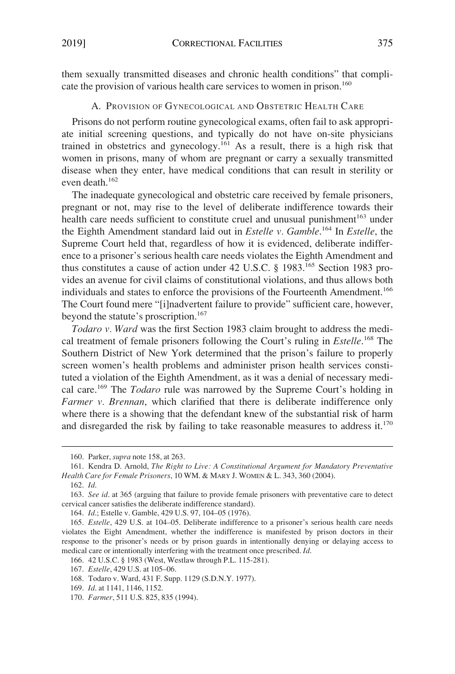<span id="page-18-0"></span>them sexually transmitted diseases and chronic health conditions" that complicate the provision of various health care services to women in prison.<sup>160</sup>

A. PROVISION OF GYNECOLOGICAL AND OBSTETRIC HEALTH CARE

Prisons do not perform routine gynecological exams, often fail to ask appropriate initial screening questions, and typically do not have on-site physicians trained in obstetrics and gynecology.161 As a result, there is a high risk that women in prisons, many of whom are pregnant or carry a sexually transmitted disease when they enter, have medical conditions that can result in sterility or even death.<sup>162</sup>

The inadequate gynecological and obstetric care received by female prisoners, pregnant or not, may rise to the level of deliberate indifference towards their health care needs sufficient to constitute cruel and unusual punishment<sup>163</sup> under the Eighth Amendment standard laid out in *Estelle v. Gamble*. 164 In *Estelle*, the Supreme Court held that, regardless of how it is evidenced, deliberate indifference to a prisoner's serious health care needs violates the Eighth Amendment and thus constitutes a cause of action under 42 U.S.C.  $\S$  1983.<sup>165</sup> Section 1983 provides an avenue for civil claims of constitutional violations, and thus allows both individuals and states to enforce the provisions of the Fourteenth Amendment.<sup>166</sup> The Court found mere "[i]nadvertent failure to provide" sufficient care, however, beyond the statute's proscription.<sup>167</sup>

*Todaro v. Ward* was the first Section 1983 claim brought to address the medical treatment of female prisoners following the Court's ruling in *Estelle*. 168 The Southern District of New York determined that the prison's failure to properly screen women's health problems and administer prison health services constituted a violation of the Eighth Amendment, as it was a denial of necessary medical care.169 The *Todaro* rule was narrowed by the Supreme Court's holding in *Farmer v. Brennan*, which clarified that there is deliberate indifference only where there is a showing that the defendant knew of the substantial risk of harm and disregarded the risk by failing to take reasonable measures to address it.<sup>170</sup>

<sup>160.</sup> Parker, *supra* note 158, at 263.

<sup>161.</sup> Kendra D. Arnold, *The Right to Live: A Constitutional Argument for Mandatory Preventative Health Care for Female Prisoners*, 10 WM. & MARY J. WOMEN & L. 343, 360 (2004).

<sup>162.</sup> *Id*.

<sup>163.</sup> *See id*. at 365 (arguing that failure to provide female prisoners with preventative care to detect cervical cancer satisfies the deliberate indifference standard).

<sup>164.</sup> *Id*.; Estelle v. Gamble, 429 U.S. 97, 104–05 (1976).

<sup>165.</sup> *Estelle*, 429 U.S. at 104–05. Deliberate indifference to a prisoner's serious health care needs violates the Eight Amendment, whether the indifference is manifested by prison doctors in their response to the prisoner's needs or by prison guards in intentionally denying or delaying access to medical care or intentionally interfering with the treatment once prescribed. *Id*.

<sup>166. 42</sup> U.S.C. § 1983 (West, Westlaw through P.L. 115-281).

<sup>167.</sup> *Estelle*, 429 U.S. at 105–06.

<sup>168.</sup> Todaro v. Ward, 431 F. Supp. 1129 (S.D.N.Y. 1977).

<sup>169.</sup> *Id*. at 1141, 1146, 1152.

<sup>170.</sup> *Farmer*, 511 U.S. 825, 835 (1994).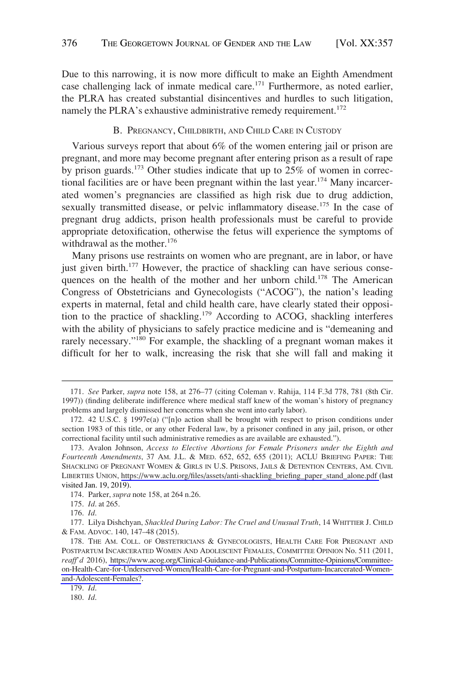<span id="page-19-0"></span>Due to this narrowing, it is now more difficult to make an Eighth Amendment case challenging lack of inmate medical care.171 Furthermore, as noted earlier, the PLRA has created substantial disincentives and hurdles to such litigation, namely the PLRA's exhaustive administrative remedy requirement.<sup>172</sup>

#### B. PREGNANCY, CHILDBIRTH, AND CHILD CARE IN CUSTODY

Various surveys report that about 6% of the women entering jail or prison are pregnant, and more may become pregnant after entering prison as a result of rape by prison guards.<sup>173</sup> Other studies indicate that up to 25% of women in correctional facilities are or have been pregnant within the last year.<sup>174</sup> Many incarcerated women's pregnancies are classified as high risk due to drug addiction, sexually transmitted disease, or pelvic inflammatory disease.<sup>175</sup> In the case of pregnant drug addicts, prison health professionals must be careful to provide appropriate detoxification, otherwise the fetus will experience the symptoms of withdrawal as the mother.<sup>176</sup>

Many prisons use restraints on women who are pregnant, are in labor, or have just given birth. $177$  However, the practice of shackling can have serious consequences on the health of the mother and her unborn child.<sup>178</sup> The American Congress of Obstetricians and Gynecologists ("ACOG"), the nation's leading experts in maternal, fetal and child health care, have clearly stated their opposition to the practice of shackling.179 According to ACOG, shackling interferes with the ability of physicians to safely practice medicine and is "demeaning and rarely necessary."<sup>180</sup> For example, the shackling of a pregnant woman makes it difficult for her to walk, increasing the risk that she will fall and making it

<sup>171.</sup> *See* Parker, *supra* note 158, at 276–77 (citing Coleman v. Rahija, 114 F.3d 778, 781 (8th Cir. 1997)) (finding deliberate indifference where medical staff knew of the woman's history of pregnancy problems and largely dismissed her concerns when she went into early labor).

<sup>172. 42</sup> U.S.C. § 1997e(a) ("[n]o action shall be brought with respect to prison conditions under section 1983 of this title, or any other Federal law, by a prisoner confined in any jail, prison, or other correctional facility until such administrative remedies as are available are exhausted.").

<sup>173.</sup> Avalon Johnson, *Access to Elective Abortions for Female Prisoners under the Eighth and Fourteenth Amendments*, 37 AM. J.L. & MED. 652, 652, 655 (2011); ACLU BRIEFING PAPER: THE SHACKLING OF PREGNANT WOMEN & GIRLS IN U.S. PRISONS, JAILS & DETENTION CENTERS, AM. CIVIL LIBERTIES UNION, [https://www.aclu.org/files/assets/anti-shackling\\_briefing\\_paper\\_stand\\_alone.pdf](https://www.aclu.org/files/assets/anti-shackling_briefing_paper_stand_alone.pdf) (last visited Jan. 19, 2019).

<sup>174.</sup> Parker, *supra* note 158, at 264 n.26.

<sup>175.</sup> *Id*. at 265.

<sup>176.</sup> *Id*.

<sup>177.</sup> Lilya Dishchyan, *Shackled During Labor: The Cruel and Unusual Truth*, 14 WHITTIER J. CHILD & FAM. ADVOC. 140, 147–48 (2015).

<sup>178.</sup> THE AM. COLL. OF OBSTETRICIANS & GYNECOLOGISTS, HEALTH CARE FOR PREGNANT AND POSTPARTUM INCARCERATED WOMEN AND ADOLESCENT FEMALES, COMMITTEE OPINION No. 511 (2011, *reaff'd* 2016), [https://www.acog.org/Clinical-Guidance-and-Publications/Committee-Opinions/Committee](https://www.acog.org/Clinical-Guidance-and-Publications/Committee-Opinions/Committee-on-Health-Care-for-Underserved-Women/Health-Care-for-Pregnant-and-Postpartum-Incarcerated-Women-and-Adolescent-Females?)[on-Health-Care-for-Underserved-Women/Health-Care-for-Pregnant-and-Postpartum-Incarcerated-Women](https://www.acog.org/Clinical-Guidance-and-Publications/Committee-Opinions/Committee-on-Health-Care-for-Underserved-Women/Health-Care-for-Pregnant-and-Postpartum-Incarcerated-Women-and-Adolescent-Females?)[and-Adolescent-Females?](https://www.acog.org/Clinical-Guidance-and-Publications/Committee-Opinions/Committee-on-Health-Care-for-Underserved-Women/Health-Care-for-Pregnant-and-Postpartum-Incarcerated-Women-and-Adolescent-Females?).

<sup>179.</sup> *Id*.

<sup>180.</sup> *Id*.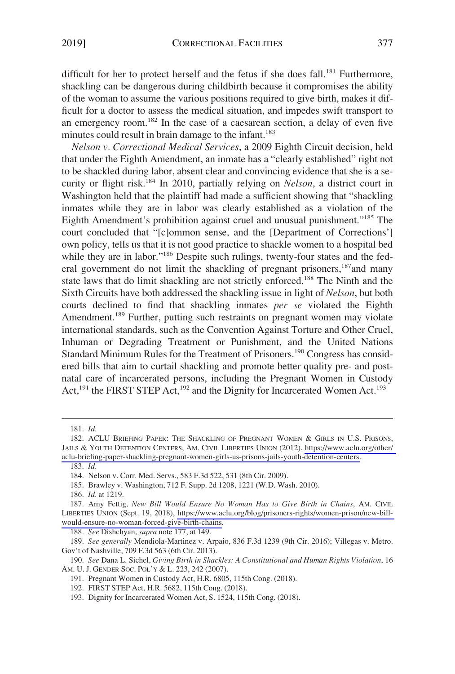difficult for her to protect herself and the fetus if she does fall.<sup>181</sup> Furthermore, shackling can be dangerous during childbirth because it compromises the ability of the woman to assume the various positions required to give birth, makes it difficult for a doctor to assess the medical situation, and impedes swift transport to an emergency room.<sup>182</sup> In the case of a caesarean section, a delay of even five minutes could result in brain damage to the infant.<sup>183</sup>

*Nelson v. Correctional Medical Services*, a 2009 Eighth Circuit decision, held that under the Eighth Amendment, an inmate has a "clearly established" right not to be shackled during labor, absent clear and convincing evidence that she is a security or flight risk.184 In 2010, partially relying on *Nelson*, a district court in Washington held that the plaintiff had made a sufficient showing that "shackling inmates while they are in labor was clearly established as a violation of the Eighth Amendment's prohibition against cruel and unusual punishment."185 The court concluded that "[c]ommon sense, and the [Department of Corrections'] own policy, tells us that it is not good practice to shackle women to a hospital bed while they are in labor."<sup>186</sup> Despite such rulings, twenty-four states and the federal government do not limit the shackling of pregnant prisoners,<sup>187</sup> and many state laws that do limit shackling are not strictly enforced.<sup>188</sup> The Ninth and the Sixth Circuits have both addressed the shackling issue in light of *Nelson*, but both courts declined to find that shackling inmates *per se* violated the Eighth Amendment.<sup>189</sup> Further, putting such restraints on pregnant women may violate international standards, such as the Convention Against Torture and Other Cruel, Inhuman or Degrading Treatment or Punishment, and the United Nations Standard Minimum Rules for the Treatment of Prisoners.<sup>190</sup> Congress has considered bills that aim to curtail shackling and promote better quality pre- and postnatal care of incarcerated persons, including the Pregnant Women in Custody Act,<sup>191</sup> the FIRST STEP Act,<sup>192</sup> and the Dignity for Incarcerated Women Act.<sup>193</sup>

186. *Id*. at 1219.

188. *See* Dishchyan, *supra* note 177, at 149.

<sup>181.</sup> *Id*.

<sup>182.</sup> ACLU BRIEFING PAPER: THE SHACKLING OF PREGNANT WOMEN & GIRLS IN U.S. PRISONS, JAILS & YOUTH DETENTION CENTERS, AM. CIVIL LIBERTIES UNION (2012), [https://www.aclu.org/other/](https://www.aclu.org/other/aclu-briefing-paper-shackling-pregnant-women-girls-us-prisons-jails-youth-detention-centers)  [aclu-briefing-paper-shackling-pregnant-women-girls-us-prisons-jails-youth-detention-centers.](https://www.aclu.org/other/aclu-briefing-paper-shackling-pregnant-women-girls-us-prisons-jails-youth-detention-centers) 183. *Id*.

<sup>184.</sup> Nelson v. Corr. Med. Servs., 583 F.3d 522, 531 (8th Cir. 2009).

<sup>185.</sup> Brawley v. Washington, 712 F. Supp. 2d 1208, 1221 (W.D. Wash. 2010).

<sup>187.</sup> Amy Fettig, New Bill Would Ensure No Woman Has to Give Birth in Chains, AM. CIVIL LIBERTIES UNION (Sept. 19, 2018), [https://www.aclu.org/blog/prisoners-rights/women-prison/new-bill](https://www.aclu.org/blog/prisoners-rights/women-prison/new-bill-would-ensure-no-woman-forced-give-birth-chains)[would-ensure-no-woman-forced-give-birth-chains](https://www.aclu.org/blog/prisoners-rights/women-prison/new-bill-would-ensure-no-woman-forced-give-birth-chains).

<sup>189.</sup> *See generally* Mendiola-Martinez v. Arpaio, 836 F.3d 1239 (9th Cir. 2016); Villegas v. Metro. Gov't of Nashville, 709 F.3d 563 (6th Cir. 2013).

<sup>190.</sup> *See* Dana L. Sichel, *Giving Birth in Shackles: A Constitutional and Human Rights Violation*, 16 AM. U. J. GENDER SOC. POL'Y & L. 223, 242 (2007).

<sup>191.</sup> Pregnant Women in Custody Act, H.R. 6805, 115th Cong. (2018).

<sup>192.</sup> FIRST STEP Act, H.R. 5682, 115th Cong. (2018).

<sup>193.</sup> Dignity for Incarcerated Women Act, S. 1524, 115th Cong. (2018).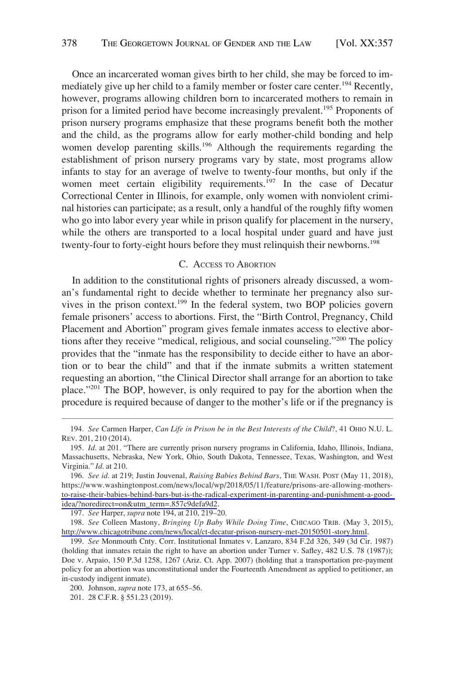<span id="page-21-0"></span>Once an incarcerated woman gives birth to her child, she may be forced to immediately give up her child to a family member or foster care center.<sup>194</sup> Recently, however, programs allowing children born to incarcerated mothers to remain in prison for a limited period have become increasingly prevalent.<sup>195</sup> Proponents of prison nursery programs emphasize that these programs benefit both the mother and the child, as the programs allow for early mother-child bonding and help women develop parenting skills.<sup>196</sup> Although the requirements regarding the establishment of prison nursery programs vary by state, most programs allow infants to stay for an average of twelve to twenty-four months, but only if the women meet certain eligibility requirements.<sup>197</sup> In the case of Decatur Correctional Center in Illinois, for example, only women with nonviolent criminal histories can participate; as a result, only a handful of the roughly fifty women who go into labor every year while in prison qualify for placement in the nursery, while the others are transported to a local hospital under guard and have just twenty-four to forty-eight hours before they must relinquish their newborns.<sup>198</sup>

## C. ACCESS TO ABORTION

In addition to the constitutional rights of prisoners already discussed, a woman's fundamental right to decide whether to terminate her pregnancy also survives in the prison context.<sup>199</sup> In the federal system, two BOP policies govern female prisoners' access to abortions. First, the "Birth Control, Pregnancy, Child Placement and Abortion" program gives female inmates access to elective abortions after they receive "medical, religious, and social counseling."200 The policy provides that the "inmate has the responsibility to decide either to have an abortion or to bear the child" and that if the inmate submits a written statement requesting an abortion, "the Clinical Director shall arrange for an abortion to take place."201 The BOP, however, is only required to pay for the abortion when the procedure is required because of danger to the mother's life or if the pregnancy is

197. *See* Harper, *supra* note 194, at 210, 219–20.

<sup>194.</sup> *See* Carmen Harper, *Can Life in Prison be in the Best Interests of the Child*?, 41 OHIO N.U. L. REV. 201, 210 (2014).

<sup>195.</sup> *Id*. at 201. "There are currently prison nursery programs in California, Idaho, Illinois, Indiana, Massachusetts, Nebraska, New York, Ohio, South Dakota, Tennessee, Texas, Washington, and West Virginia." *Id*. at 210.

*See id*. at 219; Justin Jouvenal, *Raising Babies Behind Bars*, THE WASH. POST (May 11, 2018), 196. https://www.washingtonpost.com/news/local/wp/2018/05/11/feature/prisons-are-allowing-mothers[to-raise-their-babies-behind-bars-but-is-the-radical-experiment-in-parenting-and-punishment-a-good](https://www.washingtonpost.com/news/local/wp/2018/05/11/feature/prisons-are-allowing-mothers-to-raise-their-babies-behind-bars-but-is-the-radical-experiment-in-parenting-and-punishment-a-good-idea/?noredirect=on&utm_term=.857c9defa9d2)[idea/?noredirect=on&utm\\_term=.857c9defa9d2](https://www.washingtonpost.com/news/local/wp/2018/05/11/feature/prisons-are-allowing-mothers-to-raise-their-babies-behind-bars-but-is-the-radical-experiment-in-parenting-and-punishment-a-good-idea/?noredirect=on&utm_term=.857c9defa9d2).

*See* Colleen Mastony, *Bringing Up Baby While Doing Time*, CHICAGO TRIB. (May 3, 2015), 198. <http://www.chicagotribune.com/news/local/ct-decatur-prison-nursery-met-20150501-story.html>.

<sup>199.</sup> *See* Monmouth Cnty. Corr. Institutional Inmates v. Lanzaro, 834 F.2d 326, 349 (3d Cir. 1987) (holding that inmates retain the right to have an abortion under Turner v. Safley, 482 U.S. 78 (1987)); Doe v. Arpaio, 150 P.3d 1258, 1267 (Ariz. Ct. App. 2007) (holding that a transportation pre-payment policy for an abortion was unconstitutional under the Fourteenth Amendment as applied to petitioner, an in-custody indigent inmate).

<sup>200.</sup> Johnson, *supra* note 173, at 655–56.

<sup>201. 28</sup> C.F.R. § 551.23 (2019).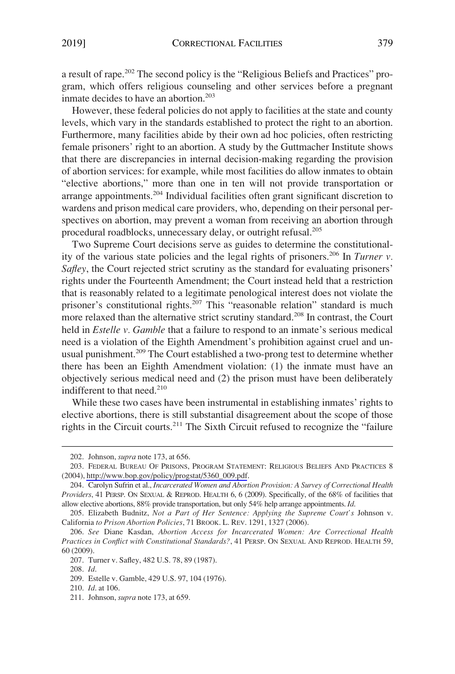a result of rape.202 The second policy is the "Religious Beliefs and Practices" program, which offers religious counseling and other services before a pregnant inmate decides to have an abortion.<sup>203</sup>

However, these federal policies do not apply to facilities at the state and county levels, which vary in the standards established to protect the right to an abortion. Furthermore, many facilities abide by their own ad hoc policies, often restricting female prisoners' right to an abortion. A study by the Guttmacher Institute shows that there are discrepancies in internal decision-making regarding the provision of abortion services: for example, while most facilities do allow inmates to obtain "elective abortions," more than one in ten will not provide transportation or arrange appointments.204 Individual facilities often grant significant discretion to wardens and prison medical care providers, who, depending on their personal perspectives on abortion, may prevent a woman from receiving an abortion through procedural roadblocks, unnecessary delay, or outright refusal.205

Two Supreme Court decisions serve as guides to determine the constitutionality of the various state policies and the legal rights of prisoners.206 In *Turner v. Safley*, the Court rejected strict scrutiny as the standard for evaluating prisoners' rights under the Fourteenth Amendment; the Court instead held that a restriction that is reasonably related to a legitimate penological interest does not violate the prisoner's constitutional rights.<sup>207</sup> This "reasonable relation" standard is much more relaxed than the alternative strict scrutiny standard.<sup>208</sup> In contrast, the Court held in *Estelle v. Gamble* that a failure to respond to an inmate's serious medical need is a violation of the Eighth Amendment's prohibition against cruel and unusual punishment.<sup>209</sup> The Court established a two-prong test to determine whether there has been an Eighth Amendment violation: (1) the inmate must have an objectively serious medical need and (2) the prison must have been deliberately indifferent to that need.<sup>210</sup>

While these two cases have been instrumental in establishing inmates' rights to elective abortions, there is still substantial disagreement about the scope of those rights in the Circuit courts.<sup>211</sup> The Sixth Circuit refused to recognize the "failure

<sup>202.</sup> Johnson, *supra* note 173, at 656.

FEDERAL BUREAU OF PRISONS, PROGRAM STATEMENT: RELIGIOUS BELIEFS AND PRACTICES 8 203. (2004), [http://www.bop.gov/policy/progstat/5360\\_009.pdf](http://www.bop.gov/policy/progstat/5360_009.pdf).

<sup>204.</sup> Carolyn Sufrin et al., *Incarcerated Women and Abortion Provision: A Survey of Correctional Health Providers*, 41 PERSP. ON SEXUAL & REPROD. HEALTH 6, 6 (2009). Specifically, of the 68% of facilities that allow elective abortions, 88% provide transportation, but only 54% help arrange appointments. *Id*.

<sup>205.</sup> Elizabeth Budnitz, *Not a Part of Her Sentence: Applying the Supreme Court's* Johnson v. California *to Prison Abortion Policies*, 71 BROOK. L. REV. 1291, 1327 (2006).

<sup>206.</sup> *See* Diane Kasdan, *Abortion Access for Incarcerated Women: Are Correctional Health Practices in Conflict with Constitutional Standards?*, 41 PERSP. ON SEXUAL AND REPROD. HEALTH 59, 60 (2009).

<sup>207.</sup> Turner v. Safley, 482 U.S. 78, 89 (1987).

<sup>208.</sup> *Id*.

<sup>209.</sup> Estelle v. Gamble, 429 U.S. 97, 104 (1976).

<sup>210.</sup> *Id*. at 106.

<sup>211.</sup> Johnson, *supra* note 173, at 659.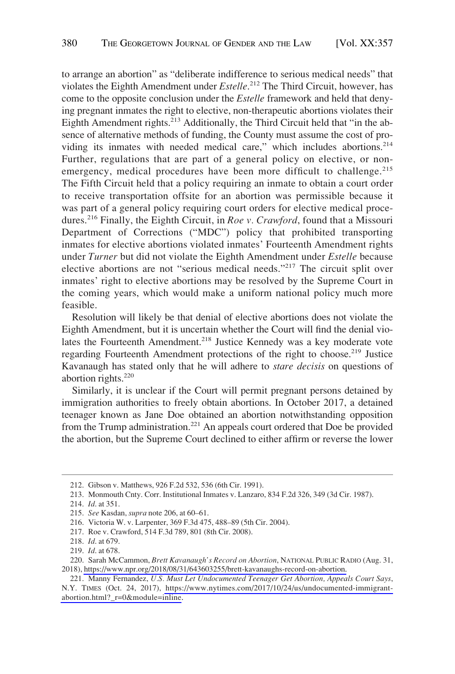to arrange an abortion" as "deliberate indifference to serious medical needs" that violates the Eighth Amendment under *Estelle*. 212 The Third Circuit, however, has come to the opposite conclusion under the *Estelle* framework and held that denying pregnant inmates the right to elective, non-therapeutic abortions violates their Eighth Amendment rights.<sup>213</sup> Additionally, the Third Circuit held that "in the absence of alternative methods of funding, the County must assume the cost of providing its inmates with needed medical care," which includes abortions.<sup>214</sup> Further, regulations that are part of a general policy on elective, or nonemergency, medical procedures have been more difficult to challenge.<sup>215</sup> The Fifth Circuit held that a policy requiring an inmate to obtain a court order to receive transportation offsite for an abortion was permissible because it was part of a general policy requiring court orders for elective medical procedures.216 Finally, the Eighth Circuit, in *Roe v. Crawford*, found that a Missouri Department of Corrections ("MDC") policy that prohibited transporting inmates for elective abortions violated inmates' Fourteenth Amendment rights under *Turner* but did not violate the Eighth Amendment under *Estelle* because elective abortions are not "serious medical needs."217 The circuit split over inmates' right to elective abortions may be resolved by the Supreme Court in the coming years, which would make a uniform national policy much more feasible.

Resolution will likely be that denial of elective abortions does not violate the Eighth Amendment, but it is uncertain whether the Court will find the denial violates the Fourteenth Amendment.<sup>218</sup> Justice Kennedy was a key moderate vote regarding Fourteenth Amendment protections of the right to choose.<sup>219</sup> Justice Kavanaugh has stated only that he will adhere to *stare decisis* on questions of abortion rights. $220$ 

Similarly, it is unclear if the Court will permit pregnant persons detained by immigration authorities to freely obtain abortions. In October 2017, a detained teenager known as Jane Doe obtained an abortion notwithstanding opposition from the Trump administration.<sup>221</sup> An appeals court ordered that Doe be provided the abortion, but the Supreme Court declined to either affirm or reverse the lower

<sup>212.</sup> Gibson v. Matthews, 926 F.2d 532, 536 (6th Cir. 1991).

<sup>213.</sup> Monmouth Cnty. Corr. Institutional Inmates v. Lanzaro, 834 F.2d 326, 349 (3d Cir. 1987).

<sup>214.</sup> *Id*. at 351.

<sup>215.</sup> *See* Kasdan, *supra* note 206, at 60–61.

<sup>216.</sup> Victoria W. v. Larpenter, 369 F.3d 475, 488–89 (5th Cir. 2004).

<sup>217.</sup> Roe v. Crawford, 514 F.3d 789, 801 (8th Cir. 2008).

<sup>218.</sup> *Id*. at 679.

<sup>219.</sup> *Id*. at 678.

<sup>220.</sup> Sarah McCammon, *Brett Kavanaugh's Record on Abortion*, NATIONAL PUBLIC RADIO (Aug. 31, 2018), [https://www.npr.org/2018/08/31/643603255/brett-kavanaughs-record-on-abortion.](https://www.npr.org/2018/08/31/643603255/brett-kavanaughs-record-on-abortion)

<sup>221.</sup> Manny Fernandez, U.S. Must Let Undocumented Teenager Get Abortion, Appeals Court Says, N.Y. TIMES (Oct. 24, 2017), [https://www.nytimes.com/2017/10/24/us/undocumented-immigrant](https://www.nytimes.com/2017/10/24/us/undocumented-immigrant-abortion.html?_r=0&module=inline)[abortion.html?\\_r=0&module=inline.](https://www.nytimes.com/2017/10/24/us/undocumented-immigrant-abortion.html?_r=0&module=inline)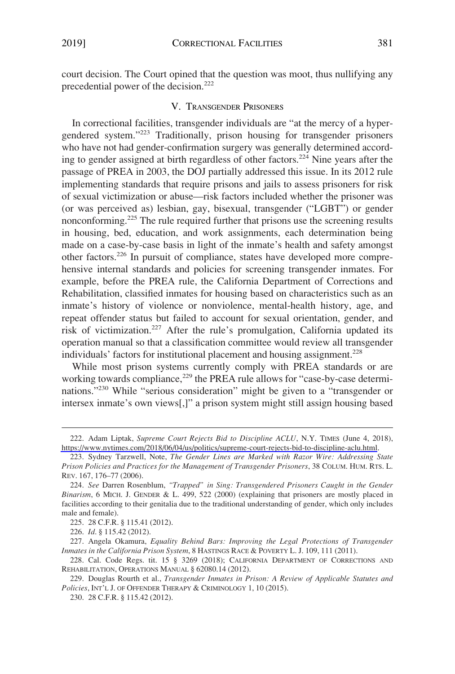<span id="page-24-0"></span>court decision. The Court opined that the question was moot, thus nullifying any precedential power of the decision.<sup>222</sup>

## V. TRANSGENDER PRISONERS

In correctional facilities, transgender individuals are "at the mercy of a hypergendered system."223 Traditionally, prison housing for transgender prisoners who have not had gender-confirmation surgery was generally determined according to gender assigned at birth regardless of other factors.224 Nine years after the passage of PREA in 2003, the DOJ partially addressed this issue. In its 2012 rule implementing standards that require prisons and jails to assess prisoners for risk of sexual victimization or abuse—risk factors included whether the prisoner was (or was perceived as) lesbian, gay, bisexual, transgender ("LGBT") or gender nonconforming.<sup>225</sup> The rule required further that prisons use the screening results in housing, bed, education, and work assignments, each determination being made on a case-by-case basis in light of the inmate's health and safety amongst other factors.226 In pursuit of compliance, states have developed more comprehensive internal standards and policies for screening transgender inmates. For example, before the PREA rule, the California Department of Corrections and Rehabilitation, classified inmates for housing based on characteristics such as an inmate's history of violence or nonviolence, mental-health history, age, and repeat offender status but failed to account for sexual orientation, gender, and risk of victimization.227 After the rule's promulgation, California updated its operation manual so that a classification committee would review all transgender individuals' factors for institutional placement and housing assignment.<sup>228</sup>

While most prison systems currently comply with PREA standards or are working towards compliance,<sup>229</sup> the PREA rule allows for "case-by-case determinations."230 While "serious consideration" might be given to a "transgender or intersex inmate's own views[,]" a prison system might still assign housing based

<sup>222.</sup> Adam Liptak, *Supreme Court Rejects Bid to Discipline ACLU*, N.Y. TIMES (June 4, 2018), <https://www.nytimes.com/2018/06/04/us/politics/supreme-court-rejects-bid-to-discipline-aclu.html>.

<sup>223.</sup> Sydney Tarzwell, Note, *The Gender Lines are Marked with Razor Wire: Addressing State Prison Policies and Practices for the Management of Transgender Prisoners*, 38 COLUM. HUM. RTS. L. REV. 167, 176–77 (2006).

<sup>224.</sup> *See* Darren Rosenblum, *"Trapped" in Sing: Transgendered Prisoners Caught in the Gender Binarism*, 6 MICH. J. GENDER & L. 499, 522 (2000) (explaining that prisoners are mostly placed in facilities according to their genitalia due to the traditional understanding of gender, which only includes male and female).

<sup>225. 28</sup> C.F.R. § 115.41 (2012).

<sup>226.</sup> *Id*. § 115.42 (2012).

<sup>227.</sup> Angela Okamura, *Equality Behind Bars: Improving the Legal Protections of Transgender Inmates in the California Prison System*, 8 HASTINGS RACE & POVERTY L. J. 109, 111 (2011).

<sup>228.</sup> Cal. Code Regs. tit. 15 § 3269 (2018); CALIFORNIA DEPARTMENT OF CORRECTIONS AND REHABILITATION, OPERATIONS MANUAL § 62080.14 (2012).

<sup>229.</sup> Douglas Rourth et al., *Transgender Inmates in Prison: A Review of Applicable Statutes and Policies*, INT'L J. OF OFFENDER THERAPY & CRIMINOLOGY 1, 10 (2015).

<sup>230. 28</sup> C.F.R. § 115.42 (2012).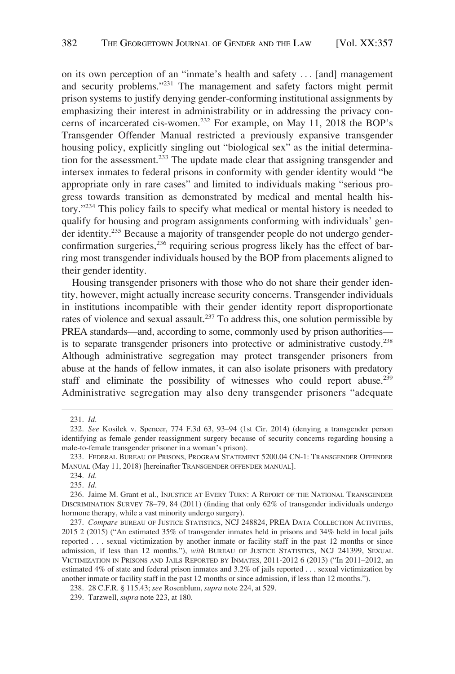on its own perception of an "inmate's health and safety . . . [and] management and security problems."231 The management and safety factors might permit prison systems to justify denying gender-conforming institutional assignments by emphasizing their interest in administrability or in addressing the privacy concerns of incarcerated cis-women.232 For example, on May 11, 2018 the BOP's Transgender Offender Manual restricted a previously expansive transgender housing policy, explicitly singling out "biological sex" as the initial determination for the assessment.<sup>233</sup> The update made clear that assigning transgender and intersex inmates to federal prisons in conformity with gender identity would "be appropriate only in rare cases" and limited to individuals making "serious progress towards transition as demonstrated by medical and mental health history."234 This policy fails to specify what medical or mental history is needed to qualify for housing and program assignments conforming with individuals' gender identity.235 Because a majority of transgender people do not undergo genderconfirmation surgeries, $236$  requiring serious progress likely has the effect of barring most transgender individuals housed by the BOP from placements aligned to their gender identity.

Housing transgender prisoners with those who do not share their gender identity, however, might actually increase security concerns. Transgender individuals in institutions incompatible with their gender identity report disproportionate rates of violence and sexual assault.237 To address this, one solution permissible by PREA standards—and, according to some, commonly used by prison authorities is to separate transgender prisoners into protective or administrative custody.<sup>238</sup> Although administrative segregation may protect transgender prisoners from abuse at the hands of fellow inmates, it can also isolate prisoners with predatory staff and eliminate the possibility of witnesses who could report abuse.<sup>239</sup> Administrative segregation may also deny transgender prisoners "adequate

<sup>231.</sup> *Id*.

<sup>232.</sup> *See* Kosilek v. Spencer, 774 F.3d 63, 93–94 (1st Cir. 2014) (denying a transgender person identifying as female gender reassignment surgery because of security concerns regarding housing a male-to-female transgender prisoner in a woman's prison).

<sup>233.</sup> FEDERAL BUREAU OF PRISONS, PROGRAM STATEMENT 5200.04 CN-1: TRANSGENDER OFFENDER MANUAL (May 11, 2018) [hereinafter TRANSGENDER OFFENDER MANUAL].

<sup>234.</sup> *Id*.

<sup>235.</sup> *Id*.

<sup>236.</sup> Jaime M. Grant et al., INJUSTICE AT EVERY TURN: A REPORT OF THE NATIONAL TRANSGENDER DISCRIMINATION SURVEY 78–79, 84 (2011) (finding that only 62% of transgender individuals undergo hormone therapy, while a vast minority undergo surgery).

<sup>237.</sup> *Compare* BUREAU OF JUSTICE STATISTICS, NCJ 248824, PREA DATA COLLECTION ACTIVITIES, 2015 2 (2015) ("An estimated 35% of transgender inmates held in prisons and 34% held in local jails reported . . . sexual victimization by another inmate or facility staff in the past 12 months or since admission, if less than 12 months."), *with* BUREAU OF JUSTICE STATISTICS, NCJ 241399, SEXUAL VICTIMIZATION IN PRISONS AND JAILS REPORTED BY INMATES, 2011-2012 6 (2013) ("In 2011–2012, an estimated 4% of state and federal prison inmates and 3.2% of jails reported . . . sexual victimization by another inmate or facility staff in the past 12 months or since admission, if less than 12 months.").

<sup>238. 28</sup> C.F.R. § 115.43; *see* Rosenblum, *supra* note 224, at 529.

<sup>239.</sup> Tarzwell, *supra* note 223, at 180.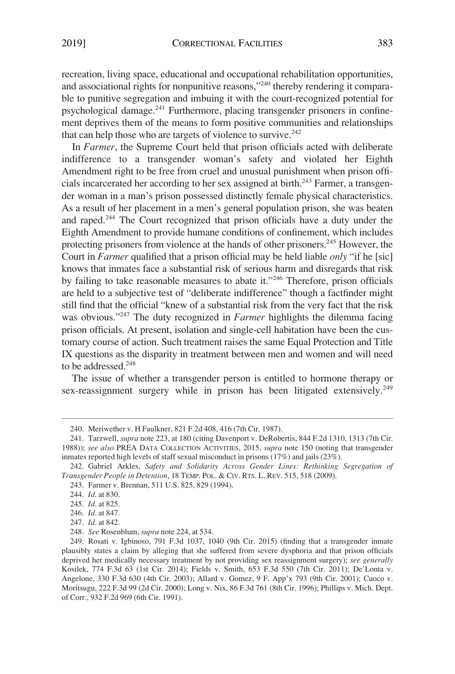recreation, living space, educational and occupational rehabilitation opportunities, and associational rights for nonpunitive reasons,"240 thereby rendering it comparable to punitive segregation and imbuing it with the court-recognized potential for psychological damage.241 Furthermore, placing transgender prisoners in confinement deprives them of the means to form positive communities and relationships that can help those who are targets of violence to survive. $242$ 

In *Farmer*, the Supreme Court held that prison officials acted with deliberate indifference to a transgender woman's safety and violated her Eighth Amendment right to be free from cruel and unusual punishment when prison officials incarcerated her according to her sex assigned at birth.<sup>243</sup> Farmer, a transgender woman in a man's prison possessed distinctly female physical characteristics. As a result of her placement in a men's general population prison, she was beaten and raped.244 The Court recognized that prison officials have a duty under the Eighth Amendment to provide humane conditions of confinement, which includes protecting prisoners from violence at the hands of other prisoners.<sup>245</sup> However, the Court in *Farmer* qualified that a prison official may be held liable *only* "if he [sic] knows that inmates face a substantial risk of serious harm and disregards that risk by failing to take reasonable measures to abate it."246 Therefore, prison officials are held to a subjective test of "deliberate indifference" though a factfinder might still find that the official "knew of a substantial risk from the very fact that the risk was obvious."<sup>247</sup> The duty recognized in *Farmer* highlights the dilemma facing prison officials. At present, isolation and single-cell habitation have been the customary course of action. Such treatment raises the same Equal Protection and Title IX questions as the disparity in treatment between men and women and will need to be addressed.<sup>248</sup>

The issue of whether a transgender person is entitled to hormone therapy or sex-reassignment surgery while in prison has been litigated extensively.<sup>249</sup>

<sup>240.</sup> Meriwether v. H Faulkner, 821 F.2d 408, 416 (7th Cir. 1987).

<sup>241.</sup> Tarzwell, *supra* note 223, at 180 (citing Davenport v. DeRobertis, 844 F.2d 1310, 1313 (7th Cir. 1988)); *see also* PREA DATA COLLECTION ACTIVITIES, 2015, *supra* note 150 (noting that transgender inmates reported high levels of staff sexual misconduct in prisons (17%) and jails (23%).

<sup>242.</sup> Gabriel Arkles, *Safety and Solidarity Across Gender Lines: Rethinking Segregation of Transgender People in Detention*, 18 TEMP. POL. & CIV. RTS. L. REV. 515, 518 (2009).

<sup>243.</sup> Farmer v. Brennan, 511 U.S. 825, 829 (1994).

<sup>244.</sup> *Id*. at 830.

<sup>245.</sup> *Id*. at 825.

<sup>246.</sup> *Id*. at 847.

<sup>247.</sup> *Id*. at 842.

<sup>248.</sup> *See* Rosenblum, *supra* note 224, at 534.

<sup>249.</sup> Rosati v. Igbinoso, 791 F.3d 1037, 1040 (9th Cir. 2015) (finding that a transgender inmate plausibly states a claim by alleging that she suffered from severe dysphoria and that prison officials deprived her medically necessary treatment by not providing sex reassignment surgery); *see generally*  Kosilek, 774 F.3d 63 (1st Cir. 2014); Fields v. Smith, 653 F.3d 550 (7th Cir. 2011); De'Lonta v. Angelone, 330 F.3d 630 (4th Cir. 2003); Allard v. Gomez, 9 F. App'x 793 (9th Cir. 2001); Cuoco v. Moritsugu, 222 F.3d 99 (2d Cir. 2000); Long v. Nix, 86 F.3d 761 (8th Cir. 1996); Phillips v. Mich. Dept. of Corr., 932 F.2d 969 (6th Cir. 1991).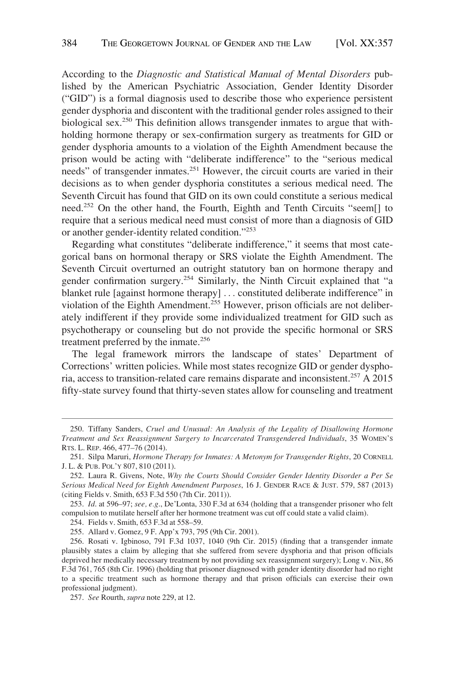According to the *Diagnostic and Statistical Manual of Mental Disorders* published by the American Psychiatric Association, Gender Identity Disorder ("GID") is a formal diagnosis used to describe those who experience persistent gender dysphoria and discontent with the traditional gender roles assigned to their biological sex.<sup>250</sup> This definition allows transgender inmates to argue that withholding hormone therapy or sex-confirmation surgery as treatments for GID or gender dysphoria amounts to a violation of the Eighth Amendment because the prison would be acting with "deliberate indifference" to the "serious medical needs" of transgender inmates.251 However, the circuit courts are varied in their decisions as to when gender dysphoria constitutes a serious medical need. The Seventh Circuit has found that GID on its own could constitute a serious medical need.252 On the other hand, the Fourth, Eighth and Tenth Circuits "seem[] to require that a serious medical need must consist of more than a diagnosis of GID or another gender-identity related condition."<sup>253</sup>

Regarding what constitutes "deliberate indifference," it seems that most categorical bans on hormonal therapy or SRS violate the Eighth Amendment. The Seventh Circuit overturned an outright statutory ban on hormone therapy and gender confirmation surgery.254 Similarly, the Ninth Circuit explained that "a blanket rule [against hormone therapy] . . . constituted deliberate indifference" in violation of the Eighth Amendment.<sup>255</sup> However, prison officials are not deliberately indifferent if they provide some individualized treatment for GID such as psychotherapy or counseling but do not provide the specific hormonal or SRS treatment preferred by the inmate.<sup>256</sup>

The legal framework mirrors the landscape of states' Department of Corrections' written policies. While most states recognize GID or gender dysphoria, access to transition-related care remains disparate and inconsistent.257 A 2015 fifty-state survey found that thirty-seven states allow for counseling and treatment

253. *Id*. at 596–97; *see, e.g*., De'Lonta, 330 F.3d at 634 (holding that a transgender prisoner who felt compulsion to mutilate herself after her hormone treatment was cut off could state a valid claim).

254. Fields v. Smith, 653 F.3d at 558–59.

255. Allard v. Gomez, 9 F. App'x 793, 795 (9th Cir. 2001).

<sup>250.</sup> Tiffany Sanders, *Cruel and Unusual: An Analysis of the Legality of Disallowing Hormone Treatment and Sex Reassignment Surgery to Incarcerated Transgendered Individuals*, 35 WOMEN'S RTS. L. REP. 466, 477–76 (2014).

<sup>251.</sup> Silpa Maruri, *Hormone Therapy for Inmates: A Metonym for Transgender Rights*, 20 CORNELL J. L. & PUB. POL'Y 807, 810 (2011).

<sup>252.</sup> Laura R. Givens, Note, *Why the Courts Should Consider Gender Identity Disorder a Per Se Serious Medical Need for Eighth Amendment Purposes*, 16 J. GENDER RACE & JUST. 579, 587 (2013) (citing Fields v. Smith, 653 F.3d 550 (7th Cir. 2011)).

<sup>256.</sup> Rosati v. Igbinoso, 791 F.3d 1037, 1040 (9th Cir. 2015) (finding that a transgender inmate plausibly states a claim by alleging that she suffered from severe dysphoria and that prison officials deprived her medically necessary treatment by not providing sex reassignment surgery); Long v. Nix, 86 F.3d 761, 765 (8th Cir. 1996) (holding that prisoner diagnosed with gender identity disorder had no right to a specific treatment such as hormone therapy and that prison officials can exercise their own professional judgment).

<sup>257.</sup> *See* Rourth, *supra* note 229, at 12.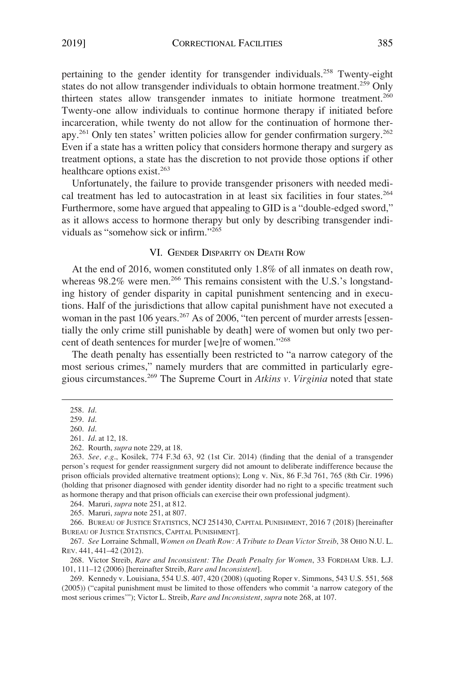<span id="page-28-0"></span>pertaining to the gender identity for transgender individuals.258 Twenty-eight states do not allow transgender individuals to obtain hormone treatment.<sup>259</sup> Only thirteen states allow transgender inmates to initiate hormone treatment.<sup>260</sup> Twenty-one allow individuals to continue hormone therapy if initiated before incarceration, while twenty do not allow for the continuation of hormone therapy.261 Only ten states' written policies allow for gender confirmation surgery.262 Even if a state has a written policy that considers hormone therapy and surgery as treatment options, a state has the discretion to not provide those options if other healthcare options exist.<sup>263</sup>

Unfortunately, the failure to provide transgender prisoners with needed medical treatment has led to autocastration in at least six facilities in four states.<sup>264</sup> Furthermore, some have argued that appealing to GID is a "double-edged sword," as it allows access to hormone therapy but only by describing transgender individuals as "somehow sick or infirm."<sup>265</sup>

## VI. GENDER DISPARITY ON DEATH ROW

At the end of 2016, women constituted only 1.8% of all inmates on death row, whereas 98.2% were men.<sup>266</sup> This remains consistent with the U.S.'s longstanding history of gender disparity in capital punishment sentencing and in executions. Half of the jurisdictions that allow capital punishment have not executed a woman in the past 106 years.<sup>267</sup> As of 2006, "ten percent of murder arrests [essentially the only crime still punishable by death] were of women but only two percent of death sentences for murder [we]re of women."268

The death penalty has essentially been restricted to "a narrow category of the most serious crimes," namely murders that are committed in particularly egregious circumstances.269 The Supreme Court in *Atkins v. Virginia* noted that state

264. Maruri, *supra* note 251, at 812.

265. Maruri, *supra* note 251, at 807.

266. BUREAU OF JUSTICE STATISTICS, NCJ 251430, CAPITAL PUNISHMENT, 2016 7 (2018) [hereinafter BUREAU OF JUSTICE STATISTICS, CAPITAL PUNISHMENT].

267. *See* Lorraine Schmall, *Women on Death Row: A Tribute to Dean Victor Streib*, 38 OHIO N.U. L. REV. 441, 441–42 (2012).

268. Victor Streib, *Rare and Inconsistent: The Death Penalty for Women*, 33 FORDHAM URB. L.J. 101, 111–12 (2006) [hereinafter Streib, *Rare and Inconsistent*].

269. Kennedy v. Louisiana, 554 U.S. 407, 420 (2008) (quoting Roper v. Simmons, 543 U.S. 551, 568 (2005)) ("capital punishment must be limited to those offenders who commit 'a narrow category of the most serious crimes'"); Victor L. Streib, *Rare and Inconsistent*, *supra* note 268, at 107.

<sup>258.</sup> *Id*.

<sup>259.</sup> *Id*.

<sup>260.</sup> *Id*.

<sup>261.</sup> *Id*. at 12, 18.

<sup>262.</sup> Rourth, *supra* note 229, at 18.

<sup>263.</sup> *See, e.g*., Kosilek, 774 F.3d 63, 92 (1st Cir. 2014) (finding that the denial of a transgender person's request for gender reassignment surgery did not amount to deliberate indifference because the prison officials provided alternative treatment options); Long v. Nix, 86 F.3d 761, 765 (8th Cir. 1996) (holding that prisoner diagnosed with gender identity disorder had no right to a specific treatment such as hormone therapy and that prison officials can exercise their own professional judgment).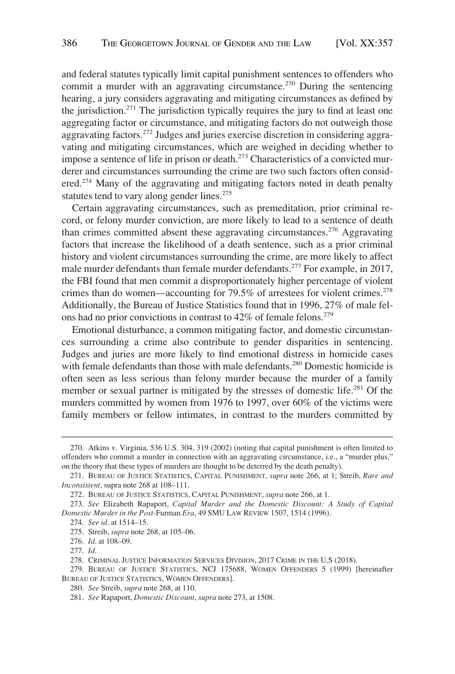and federal statutes typically limit capital punishment sentences to offenders who commit a murder with an aggravating circumstance.<sup>270</sup> During the sentencing hearing, a jury considers aggravating and mitigating circumstances as defined by the jurisdiction.<sup>271</sup> The jurisdiction typically requires the jury to find at least one aggregating factor or circumstance, and mitigating factors do not outweigh those aggravating factors.272 Judges and juries exercise discretion in considering aggravating and mitigating circumstances, which are weighed in deciding whether to impose a sentence of life in prison or death.273 Characteristics of a convicted murderer and circumstances surrounding the crime are two such factors often considered.274 Many of the aggravating and mitigating factors noted in death penalty statutes tend to vary along gender lines.<sup>275</sup>

Certain aggravating circumstances, such as premeditation, prior criminal record, or felony murder conviction, are more likely to lead to a sentence of death than crimes committed absent these aggravating circumstances.<sup>276</sup> Aggravating factors that increase the likelihood of a death sentence, such as a prior criminal history and violent circumstances surrounding the crime, are more likely to affect male murder defendants than female murder defendants.<sup>277</sup> For example, in 2017, the FBI found that men commit a disproportionately higher percentage of violent crimes than do women—accounting for  $79.5\%$  of arrestees for violent crimes.<sup>278</sup> Additionally, the Bureau of Justice Statistics found that in 1996, 27% of male felons had no prior convictions in contrast to  $42\%$  of female felons.<sup>279</sup>

Emotional disturbance, a common mitigating factor, and domestic circumstances surrounding a crime also contribute to gender disparities in sentencing. Judges and juries are more likely to find emotional distress in homicide cases with female defendants than those with male defendants.<sup>280</sup> Domestic homicide is often seen as less serious than felony murder because the murder of a family member or sexual partner is mitigated by the stresses of domestic life.<sup>281</sup> Of the murders committed by women from 1976 to 1997, over 60% of the victims were family members or fellow intimates, in contrast to the murders committed by

<sup>270.</sup> Atkins v. Virginia, 536 U.S. 304, 319 (2002) (noting that capital punishment is often limited to offenders who commit a murder in connection with an aggravating circumstance, i.e., a "murder plus," on the theory that these types of murders are thought to be deterred by the death penalty).

<sup>271.</sup> BUREAU OF JUSTICE STATISTICS, CAPITAL PUNISHMENT, *supra* note 266, at 1; Streib, *Rare and Inconsistent*, supra note 268 at 108–111.

<sup>272.</sup> BUREAU OF JUSTICE STATISTICS, CAPITAL PUNISHMENT, *supra* note 266, at 1.

<sup>273.</sup> *See* Elizabeth Rapaport, *Capital Murder and the Domestic Discount: A Study of Capital Domestic Murder in the Post-*Furman *Era*, 49 SMU LAW REVIEW 1507, 1514 (1996).

<sup>274.</sup> *See id*. at 1514–15.

<sup>275.</sup> Streib, *supra* note 268, at 105–06.

<sup>276.</sup> *Id*. at 108–09.

<sup>277.</sup> *Id*.

<sup>278.</sup> CRIMINAL JUSTICE INFORMATION SERVICES DIVISION, 2017 CRIME IN THE U.S (2018).

<sup>279.</sup> BUREAU OF JUSTICE STATISTICS, NCJ 175688, WOMEN OFFENDERS 5 (1999) [hereinafter BUREAU OF JUSTICE STATISTICS, WOMEN OFFENDERS].

<sup>280.</sup> *See* Streib, *supra* note 268, at 110.

<sup>281.</sup> *See* Rapaport, *Domestic Discount*, *supra* note 273, at 1508.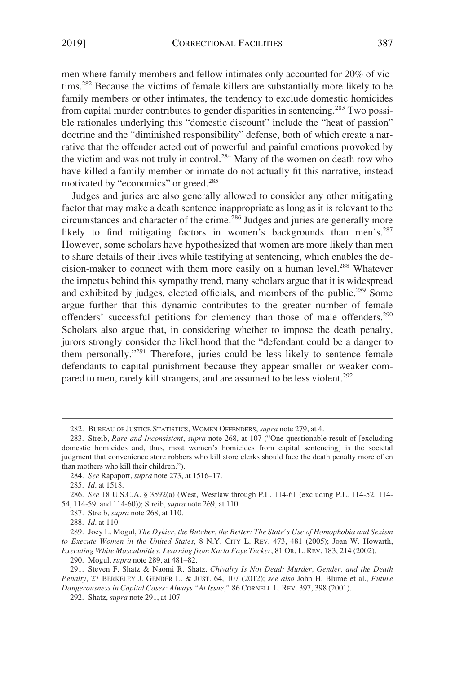men where family members and fellow intimates only accounted for 20% of victims.282 Because the victims of female killers are substantially more likely to be family members or other intimates, the tendency to exclude domestic homicides from capital murder contributes to gender disparities in sentencing.283 Two possible rationales underlying this "domestic discount" include the "heat of passion" doctrine and the "diminished responsibility" defense, both of which create a narrative that the offender acted out of powerful and painful emotions provoked by the victim and was not truly in control.<sup>284</sup> Many of the women on death row who have killed a family member or inmate do not actually fit this narrative, instead motivated by "economics" or greed.<sup>285</sup>

Judges and juries are also generally allowed to consider any other mitigating factor that may make a death sentence inappropriate as long as it is relevant to the circumstances and character of the crime.<sup>286</sup> Judges and juries are generally more likely to find mitigating factors in women's backgrounds than men's.<sup>287</sup> However, some scholars have hypothesized that women are more likely than men to share details of their lives while testifying at sentencing, which enables the decision-maker to connect with them more easily on a human level.<sup>288</sup> Whatever the impetus behind this sympathy trend, many scholars argue that it is widespread and exhibited by judges, elected officials, and members of the public.289 Some argue further that this dynamic contributes to the greater number of female offenders' successful petitions for clemency than those of male offenders.<sup>290</sup> Scholars also argue that, in considering whether to impose the death penalty, jurors strongly consider the likelihood that the "defendant could be a danger to them personally."291 Therefore, juries could be less likely to sentence female defendants to capital punishment because they appear smaller or weaker compared to men, rarely kill strangers, and are assumed to be less violent.<sup>292</sup>

290. Mogul, *supra* note 289, at 481–82.

<sup>282.</sup> BUREAU OF JUSTICE STATISTICS, WOMEN OFFENDERS, *supra* note 279, at 4.

<sup>283.</sup> Streib, *Rare and Inconsistent*, *supra* note 268, at 107 ("One questionable result of [excluding domestic homicides and, thus, most women's homicides from capital sentencing] is the societal judgment that convenience store robbers who kill store clerks should face the death penalty more often than mothers who kill their children.").

<sup>284.</sup> *See* Rapaport, *supra* note 273, at 1516–17.

<sup>285.</sup> *Id*. at 1518.

<sup>286.</sup> *See* 18 U.S.C.A. § 3592(a) (West, Westlaw through P.L. 114-61 (excluding P.L. 114-52, 114- 54, 114-59, and 114-60)); Streib, *supra* note 269, at 110.

<sup>287.</sup> Streib, *supra* note 268, at 110.

<sup>288.</sup> *Id*. at 110.

<sup>289.</sup> Joey L. Mogul, *The Dykier, the Butcher, the Better: The State's Use of Homophobia and Sexism to Execute Women in the United States*, 8 N.Y. CITY L. REV. 473, 481 (2005); Joan W. Howarth, *Executing White Masculinities: Learning from Karla Faye Tucker*, 81 OR. L. REV. 183, 214 (2002).

<sup>291.</sup> Steven F. Shatz & Naomi R. Shatz, *Chivalry Is Not Dead: Murder, Gender, and the Death Penalty*, 27 BERKELEY J. GENDER L. & JUST. 64, 107 (2012); *see also* John H. Blume et al., *Future Dangerousness in Capital Cases: Always "At Issue,"* 86 CORNELL L. REV. 397, 398 (2001).

<sup>292.</sup> Shatz, *supra* note 291, at 107.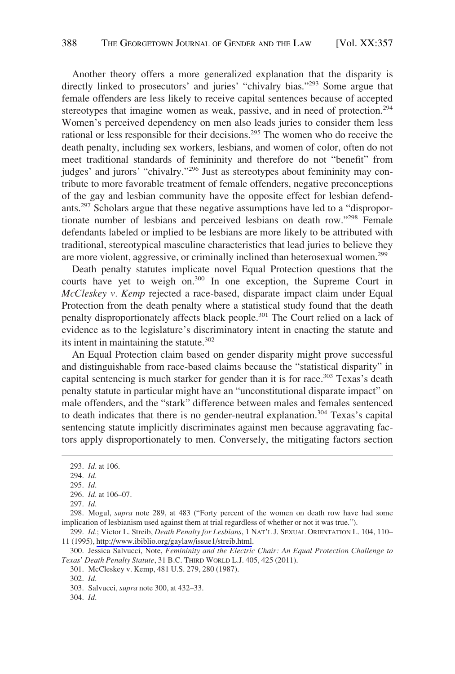Another theory offers a more generalized explanation that the disparity is directly linked to prosecutors' and juries' "chivalry bias."<sup>293</sup> Some argue that female offenders are less likely to receive capital sentences because of accepted stereotypes that imagine women as weak, passive, and in need of protection.<sup>294</sup> Women's perceived dependency on men also leads juries to consider them less rational or less responsible for their decisions.295 The women who do receive the death penalty, including sex workers, lesbians, and women of color, often do not meet traditional standards of femininity and therefore do not "benefit" from judges' and jurors' "chivalry."296 Just as stereotypes about femininity may contribute to more favorable treatment of female offenders, negative preconceptions of the gay and lesbian community have the opposite effect for lesbian defendants.297 Scholars argue that these negative assumptions have led to a "disproportionate number of lesbians and perceived lesbians on death row."298 Female defendants labeled or implied to be lesbians are more likely to be attributed with traditional, stereotypical masculine characteristics that lead juries to believe they are more violent, aggressive, or criminally inclined than heterosexual women.<sup>299</sup>

Death penalty statutes implicate novel Equal Protection questions that the courts have yet to weigh on.<sup>300</sup> In one exception, the Supreme Court in *McCleskey v. Kemp* rejected a race-based, disparate impact claim under Equal Protection from the death penalty where a statistical study found that the death penalty disproportionately affects black people.<sup>301</sup> The Court relied on a lack of evidence as to the legislature's discriminatory intent in enacting the statute and its intent in maintaining the statute.<sup>302</sup>

An Equal Protection claim based on gender disparity might prove successful and distinguishable from race-based claims because the "statistical disparity" in capital sentencing is much starker for gender than it is for race. $303$  Texas's death penalty statute in particular might have an "unconstitutional disparate impact" on male offenders, and the "stark" difference between males and females sentenced to death indicates that there is no gender-neutral explanation.<sup>304</sup> Texas's capital sentencing statute implicitly discriminates against men because aggravating factors apply disproportionately to men. Conversely, the mitigating factors section

299. *Id.*; Victor L. Streib, *Death Penalty for Lesbians*, 1 NAT'L J. SEXUAL ORIENTATION L. 104, 110– 11 (1995),<http://www.ibiblio.org/gaylaw/issue1/streib.html>.

300. Jessica Salvucci, Note, *Femininity and the Electric Chair: An Equal Protection Challenge to Texas' Death Penalty Statute*, 31 B.C. THIRD WORLD L.J. 405, 425 (2011).

<sup>293.</sup> *Id*. at 106.

<sup>294.</sup> *Id*.

<sup>295.</sup> *Id*.

<sup>296.</sup> *Id*. at 106–07.

<sup>297.</sup> *Id*.

<sup>298.</sup> Mogul, *supra* note 289, at 483 ("Forty percent of the women on death row have had some implication of lesbianism used against them at trial regardless of whether or not it was true.").

<sup>301.</sup> McCleskey v. Kemp, 481 U.S. 279, 280 (1987).

<sup>302.</sup> *Id*.

<sup>303.</sup> Salvucci*, supra* note 300, at 432–33.

<sup>304.</sup> *Id*.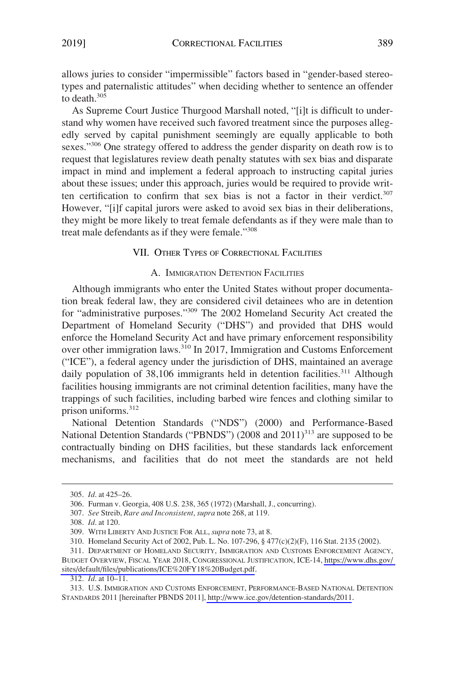<span id="page-32-0"></span>allows juries to consider "impermissible" factors based in "gender-based stereotypes and paternalistic attitudes" when deciding whether to sentence an offender to death.305

As Supreme Court Justice Thurgood Marshall noted, "[i]t is difficult to understand why women have received such favored treatment since the purposes allegedly served by capital punishment seemingly are equally applicable to both sexes."<sup>306</sup> One strategy offered to address the gender disparity on death row is to request that legislatures review death penalty statutes with sex bias and disparate impact in mind and implement a federal approach to instructing capital juries about these issues; under this approach, juries would be required to provide written certification to confirm that sex bias is not a factor in their verdict.<sup>307</sup> However, "[i]f capital jurors were asked to avoid sex bias in their deliberations, they might be more likely to treat female defendants as if they were male than to treat male defendants as if they were female."308

## VII. OTHER TYPES OF CORRECTIONAL FACILITIES

## A. IMMIGRATION DETENTION FACILITIES

Although immigrants who enter the United States without proper documentation break federal law, they are considered civil detainees who are in detention for "administrative purposes."309 The 2002 Homeland Security Act created the Department of Homeland Security ("DHS") and provided that DHS would enforce the Homeland Security Act and have primary enforcement responsibility over other immigration laws.<sup>310</sup> In 2017, Immigration and Customs Enforcement ("ICE"), a federal agency under the jurisdiction of DHS, maintained an average daily population of 38,106 immigrants held in detention facilities.<sup>311</sup> Although facilities housing immigrants are not criminal detention facilities, many have the trappings of such facilities, including barbed wire fences and clothing similar to prison uniforms.312

National Detention Standards ("NDS") (2000) and Performance-Based National Detention Standards ("PBNDS")  $(2008 \text{ and } 2011)^{313}$  are supposed to be contractually binding on DHS facilities, but these standards lack enforcement mechanisms, and facilities that do not meet the standards are not held

<sup>305.</sup> *Id*. at 425–26.

<sup>306.</sup> Furman v. Georgia, 408 U.S. 238, 365 (1972) (Marshall, J., concurring).

<sup>307.</sup> *See* Streib, *Rare and Inconsistent*, *supra* note 268, at 119.

<sup>308.</sup> *Id*. at 120.

<sup>309.</sup> WITH LIBERTY AND JUSTICE FOR ALL, *supra* note 73, at 8.

<sup>310.</sup> Homeland Security Act of 2002, Pub. L. No. 107-296, § 477(c)(2)(F), 116 Stat. 2135 (2002).

<sup>311.</sup> DEPARTMENT OF HOMELAND SECURITY, IMMIGRATION AND CUSTOMS ENFORCEMENT AGENCY, BUDGET OVERVIEW, FISCAL YEAR 2018, CONGRESSIONAL JUSTIFICATION, ICE-14, [https://www.dhs.gov/](https://www.dhs.gov/sites/default/files/publications/ICE%20FY18%20Budget.pdf)  [sites/default/files/publications/ICE%20FY18%20Budget.pdf](https://www.dhs.gov/sites/default/files/publications/ICE%20FY18%20Budget.pdf).

<sup>312.</sup> *Id*. at 10–11.

<sup>313.</sup> U.S. IMMIGRATION AND CUSTOMS ENFORCEMENT, PERFORMANCE-BASED NATIONAL DETENTION STANDARDS 2011 [hereinafter PBNDS 2011],<http://www.ice.gov/detention-standards/2011>.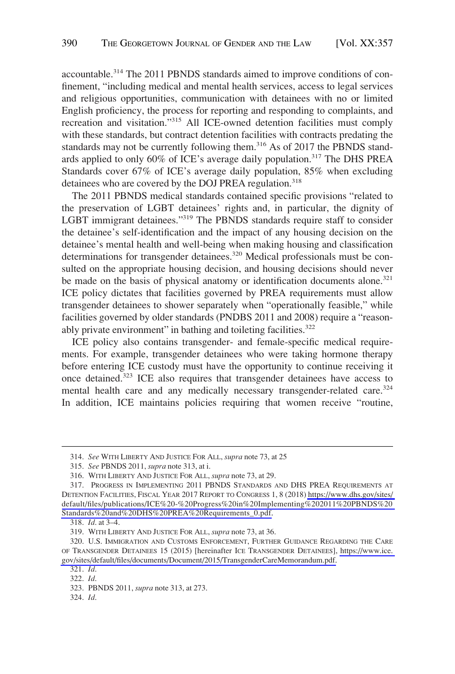accountable.314 The 2011 PBNDS standards aimed to improve conditions of confinement, "including medical and mental health services, access to legal services and religious opportunities, communication with detainees with no or limited English proficiency, the process for reporting and responding to complaints, and recreation and visitation."315 All ICE-owned detention facilities must comply with these standards, but contract detention facilities with contracts predating the standards may not be currently following them.<sup>316</sup> As of 2017 the PBNDS standards applied to only 60% of ICE's average daily population.<sup>317</sup> The DHS PREA Standards cover 67% of ICE's average daily population, 85% when excluding detainees who are covered by the DOJ PREA regulation.<sup>318</sup>

The 2011 PBNDS medical standards contained specific provisions "related to the preservation of LGBT detainees' rights and, in particular, the dignity of LGBT immigrant detainees."319 The PBNDS standards require staff to consider the detainee's self-identification and the impact of any housing decision on the detainee's mental health and well-being when making housing and classification determinations for transgender detainees.<sup>320</sup> Medical professionals must be consulted on the appropriate housing decision, and housing decisions should never be made on the basis of physical anatomy or identification documents alone.<sup>321</sup> ICE policy dictates that facilities governed by PREA requirements must allow transgender detainees to shower separately when "operationally feasible," while facilities governed by older standards (PNDBS 2011 and 2008) require a "reasonably private environment" in bathing and toileting facilities.<sup>322</sup>

ICE policy also contains transgender- and female-specific medical requirements. For example, transgender detainees who were taking hormone therapy before entering ICE custody must have the opportunity to continue receiving it once detained.323 ICE also requires that transgender detainees have access to mental health care and any medically necessary transgender-related care.<sup>324</sup> In addition, ICE maintains policies requiring that women receive "routine,

324. *Id*.

<sup>314.</sup> *See* WITH LIBERTY AND JUSTICE FOR ALL, *supra* note 73, at 25

<sup>315.</sup> *See* PBNDS 2011, *supra* note 313, at i.

<sup>316.</sup> WITH LIBERTY AND JUSTICE FOR ALL, *supra* note 73, at 29.

<sup>317.</sup> PROGRESS IN IMPLEMENTING 2011 PBNDS STANDARDS AND DHS PREA REQUIREMENTS AT DETENTION FACILITIES, FISCAL YEAR 2017 REPORT TO CONGRESS 1, 8 (2018) [https://www.dhs.gov/sites/](https://www.dhs.gov/sites/default/files/publications/ICE%20-%20Progress%20in%20Implementing%202011%20PBNDS%20Standards%20and%20DHS%20PREA%20Requirements_0.pdf)  [default/files/publications/ICE%20-%20Progress%20in%20Implementing%202011%20PBNDS%20](https://www.dhs.gov/sites/default/files/publications/ICE%20-%20Progress%20in%20Implementing%202011%20PBNDS%20Standards%20and%20DHS%20PREA%20Requirements_0.pdf)  [Standards%20and%20DHS%20PREA%20Requirements\\_0.pdf.](https://www.dhs.gov/sites/default/files/publications/ICE%20-%20Progress%20in%20Implementing%202011%20PBNDS%20Standards%20and%20DHS%20PREA%20Requirements_0.pdf)

<sup>318.</sup> *Id*. at 3–4.

<sup>319.</sup> WITH LIBERTY AND JUSTICE FOR ALL, *supra* note 73, at 36.

<sup>320.</sup> U.S. IMMIGRATION AND CUSTOMS ENFORCEMENT, FURTHER GUIDANCE REGARDING THE CARE OF TRANSGENDER DETAINEES 15 (2015) [hereinafter ICE TRANSGENDER DETAINEES], [https://www.ice.](https://www.ice.gov/sites/default/files/documents/Document/2015/TransgenderCareMemorandum.pdf)  [gov/sites/default/files/documents/Document/2015/TransgenderCareMemorandum.pdf.](https://www.ice.gov/sites/default/files/documents/Document/2015/TransgenderCareMemorandum.pdf)

<sup>321.</sup> *Id*.

<sup>322.</sup> *Id*.

<sup>323.</sup> PBNDS 2011, *supra* note 313, at 273.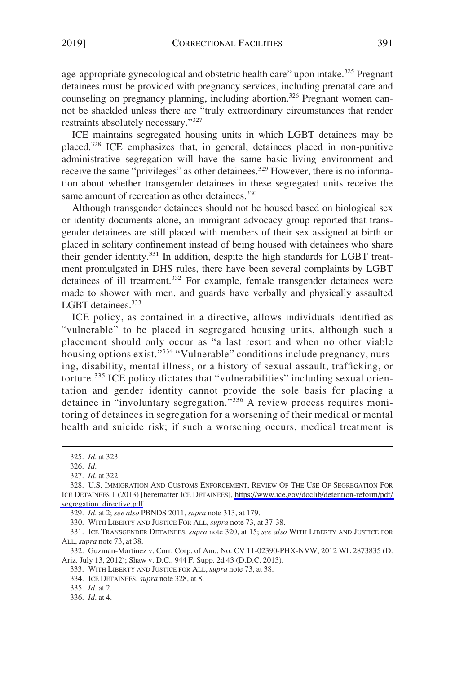age-appropriate gynecological and obstetric health care" upon intake.<sup>325</sup> Pregnant detainees must be provided with pregnancy services, including prenatal care and counseling on pregnancy planning, including abortion.<sup>326</sup> Pregnant women cannot be shackled unless there are "truly extraordinary circumstances that render restraints absolutely necessary."327

ICE maintains segregated housing units in which LGBT detainees may be placed.<sup>328</sup> ICE emphasizes that, in general, detainees placed in non-punitive administrative segregation will have the same basic living environment and receive the same "privileges" as other detainees.<sup>329</sup> However, there is no information about whether transgender detainees in these segregated units receive the same amount of recreation as other detainees.<sup>330</sup>

Although transgender detainees should not be housed based on biological sex or identity documents alone, an immigrant advocacy group reported that transgender detainees are still placed with members of their sex assigned at birth or placed in solitary confinement instead of being housed with detainees who share their gender identity.331 In addition, despite the high standards for LGBT treatment promulgated in DHS rules, there have been several complaints by LGBT detainees of ill treatment.<sup>332</sup> For example, female transgender detainees were made to shower with men, and guards have verbally and physically assaulted LGBT detainees.<sup>333</sup>

ICE policy, as contained in a directive, allows individuals identified as "vulnerable" to be placed in segregated housing units, although such a placement should only occur as "a last resort and when no other viable housing options exist."334 "Vulnerable" conditions include pregnancy, nursing, disability, mental illness, or a history of sexual assault, trafficking, or torture.335 ICE policy dictates that "vulnerabilities" including sexual orientation and gender identity cannot provide the sole basis for placing a detainee in "involuntary segregation."336 A review process requires monitoring of detainees in segregation for a worsening of their medical or mental health and suicide risk; if such a worsening occurs, medical treatment is

329. *Id*. at 2; *see also* PBNDS 2011, *supra* note 313, at 179.

330. WITH LIBERTY AND JUSTICE FOR ALL, *supra* note 73, at 37-38.

331. ICE TRANSGENDER DETAINEES, *supra* note 320, at 15; *see also* WITH LIBERTY AND JUSTICE FOR ALL, *supra* note 73, at 38.

332. Guzman-Martinez v. Corr. Corp. of Am., No. CV 11-02390-PHX-NVW, 2012 WL 2873835 (D. Ariz. July 13, 2012); Shaw v. D.C., 944 F. Supp. 2d 43 (D.D.C. 2013).

335. *Id*. at 2.

<sup>325.</sup> *Id*. at 323.

<sup>326.</sup> *Id*.

<sup>327.</sup> *Id*. at 322.

<sup>328.</sup> U.S. IMMIGRATION AND CUSTOMS ENFORCEMENT, REVIEW OF THE USE OF SEGREGATION FOR ICE DETAINEES 1 (2013) [hereinafter ICE DETAINEES], [https://www.ice.gov/doclib/detention-reform/pdf/](https://www.ice.gov/doclib/detention-reform/pdf/segregation_directive.pdf)  [segregation\\_directive.pdf.](https://www.ice.gov/doclib/detention-reform/pdf/segregation_directive.pdf)

<sup>333.</sup> WITH LIBERTY AND JUSTICE FOR ALL, *supra* note 73, at 38.

<sup>334.</sup> ICE DETAINEES, *supra* note 328, at 8.

<sup>336.</sup> *Id*. at 4.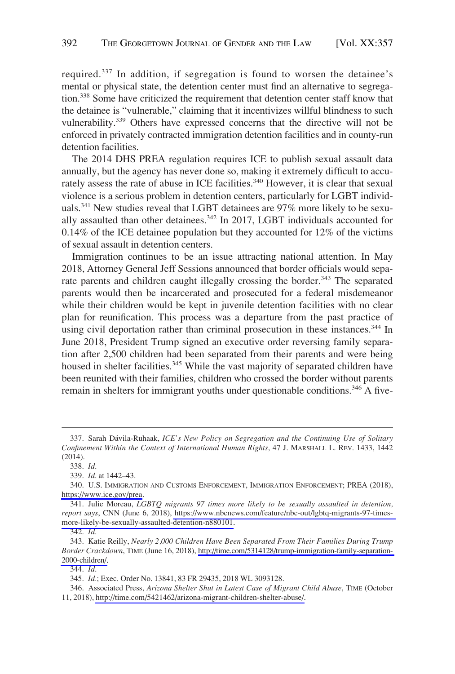required.<sup>337</sup> In addition, if segregation is found to worsen the detainee's mental or physical state, the detention center must find an alternative to segregation.338 Some have criticized the requirement that detention center staff know that the detainee is "vulnerable," claiming that it incentivizes willful blindness to such vulnerability.339 Others have expressed concerns that the directive will not be enforced in privately contracted immigration detention facilities and in county-run detention facilities.

The 2014 DHS PREA regulation requires ICE to publish sexual assault data annually, but the agency has never done so, making it extremely difficult to accurately assess the rate of abuse in ICE facilities.<sup>340</sup> However, it is clear that sexual violence is a serious problem in detention centers, particularly for LGBT individuals.<sup>341</sup> New studies reveal that LGBT detainees are 97% more likely to be sexually assaulted than other detainees.<sup>342</sup> In 2017, LGBT individuals accounted for 0.14% of the ICE detainee population but they accounted for 12% of the victims of sexual assault in detention centers.

Immigration continues to be an issue attracting national attention. In May 2018, Attorney General Jeff Sessions announced that border officials would separate parents and children caught illegally crossing the border.<sup>343</sup> The separated parents would then be incarcerated and prosecuted for a federal misdemeanor while their children would be kept in juvenile detention facilities with no clear plan for reunification. This process was a departure from the past practice of using civil deportation rather than criminal prosecution in these instances.<sup>344</sup> In June 2018, President Trump signed an executive order reversing family separation after 2,500 children had been separated from their parents and were being housed in shelter facilities.<sup>345</sup> While the vast majority of separated children have been reunited with their families, children who crossed the border without parents remain in shelters for immigrant youths under questionable conditions.<sup>346</sup> A five-

<sup>337.</sup> Sarah Da´vila-Ruhaak, *ICE's New Policy on Segregation and the Continuing Use of Solitary Confinement Within the Context of International Human Rights*, 47 J. MARSHALL L. REV. 1433, 1442 (2014).

<sup>338.</sup> *Id*.

<sup>339.</sup> *Id*. at 1442–43.

<sup>340.</sup> U.S. IMMIGRATION AND CUSTOMS ENFORCEMENT, IMMIGRATION ENFORCEMENT; PREA (2018), <https://www.ice.gov/prea>.

<sup>341.</sup> Julie Moreau, *LGBTQ migrants 97 times more likely to be sexually assaulted in detention*, *report says*, CNN (June 6, 2018), [https://www.nbcnews.com/feature/nbc-out/lgbtq-migrants-97-times](https://www.nbcnews.com/feature/nbc-out/lgbtq-migrants-97-times-more-likely-be-sexually-assaulted-detention-n880101)[more-likely-be-sexually-assaulted-detention-n880101](https://www.nbcnews.com/feature/nbc-out/lgbtq-migrants-97-times-more-likely-be-sexually-assaulted-detention-n880101).

<sup>342.</sup> *Id*.

<sup>343.</sup> Katie Reilly, *Nearly 2,000 Children Have Been Separated From Their Families During Trump Border Crackdown*, TIME (June 16, 2018), [http://time.com/5314128/trump-immigration-family-separation-](http://time.com/5314128/trump-immigration-family-separation-2000-children/)[2000-children/.](http://time.com/5314128/trump-immigration-family-separation-2000-children/)

<sup>344.</sup> *Id*.

<sup>345.</sup> *Id.*; Exec. Order No. 13841, 83 FR 29435, 2018 WL 3093128.

Associated Press, *Arizona Shelter Shut in Latest Case of Migrant Child Abuse*, TIME (October 346. 11, 2018), [http://time.com/5421462/arizona-migrant-children-shelter-abuse/.](http://time.com/5421462/arizona-migrant-children-shelter-abuse/)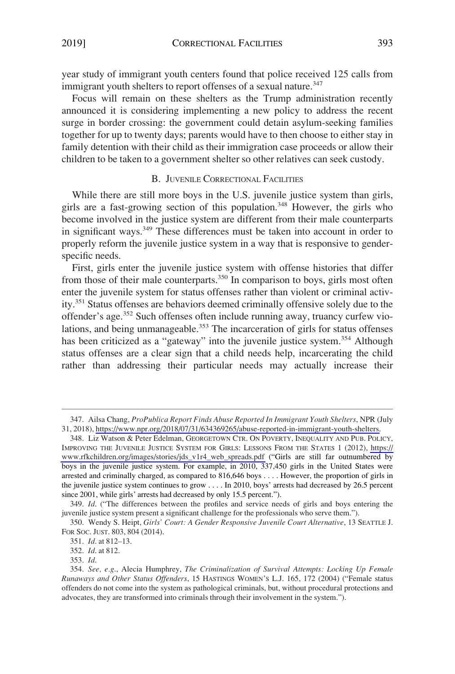<span id="page-36-0"></span>year study of immigrant youth centers found that police received 125 calls from immigrant youth shelters to report offenses of a sexual nature.<sup>347</sup>

Focus will remain on these shelters as the Trump administration recently announced it is considering implementing a new policy to address the recent surge in border crossing: the government could detain asylum-seeking families together for up to twenty days; parents would have to then choose to either stay in family detention with their child as their immigration case proceeds or allow their children to be taken to a government shelter so other relatives can seek custody.

## B. JUVENILE CORRECTIONAL FACILITIES

While there are still more boys in the U.S. juvenile justice system than girls, girls are a fast-growing section of this population.<sup>348</sup> However, the girls who become involved in the justice system are different from their male counterparts in significant ways.<sup>349</sup> These differences must be taken into account in order to properly reform the juvenile justice system in a way that is responsive to genderspecific needs.

First, girls enter the juvenile justice system with offense histories that differ from those of their male counterparts.<sup>350</sup> In comparison to boys, girls most often enter the juvenile system for status offenses rather than violent or criminal activity.351 Status offenses are behaviors deemed criminally offensive solely due to the offender's age.352 Such offenses often include running away, truancy curfew violations, and being unmanageable.<sup>353</sup> The incarceration of girls for status offenses has been criticized as a "gateway" into the juvenile justice system.<sup>354</sup> Although status offenses are a clear sign that a child needs help, incarcerating the child rather than addressing their particular needs may actually increase their

Ailsa Chang, *ProPublica Report Finds Abuse Reported In Immigrant Youth Shelters*, NPR (July 347. 31, 2018), [https://www.npr.org/2018/07/31/634369265/abuse-reported-in-immigrant-youth-shelters.](https://www.npr.org/2018/07/31/634369265/abuse-reported-in-immigrant-youth-shelters)

<sup>348.</sup> Liz Watson & Peter Edelman, GEORGETOWN CTR. ON POVERTY, INEQUALITY AND PUB. POLICY, IMPROVING THE JUVENILE JUSTICE SYSTEM FOR GIRLS: LESSONS FROM THE STATES 1 (2012), [https://](https://www.rfkchildren.org/images/stories/jds_v1r4_web_spreads.pdf)  [www.rfkchildren.org/images/stories/jds\\_v1r4\\_web\\_spreads.pdf](https://www.rfkchildren.org/images/stories/jds_v1r4_web_spreads.pdf) ("Girls are still far outnumbered by boys in the juvenile justice system. For example, in 2010, 337,450 girls in the United States were arrested and criminally charged, as compared to 816,646 boys . . . . However, the proportion of girls in the juvenile justice system continues to grow . . . . In 2010, boys' arrests had decreased by 26.5 percent since 2001, while girls' arrests had decreased by only 15.5 percent.").

<sup>349.</sup> *Id*. ("The differences between the profiles and service needs of girls and boys entering the juvenile justice system present a significant challenge for the professionals who serve them.").

<sup>350.</sup> Wendy S. Heipt, *Girls' Court: A Gender Responsive Juvenile Court Alternative*, 13 SEATTLE J. FOR SOC. JUST. 803, 804 (2014).

<sup>351.</sup> *Id*. at 812–13.

<sup>352.</sup> *Id*. at 812.

<sup>353.</sup> *Id*.

<sup>354.</sup> *See, e.g*., Alecia Humphrey, *The Criminalization of Survival Attempts: Locking Up Female Runaways and Other Status Offenders*, 15 HASTINGS WOMEN'S L.J. 165, 172 (2004) ("Female status offenders do not come into the system as pathological criminals, but, without procedural protections and advocates, they are transformed into criminals through their involvement in the system.").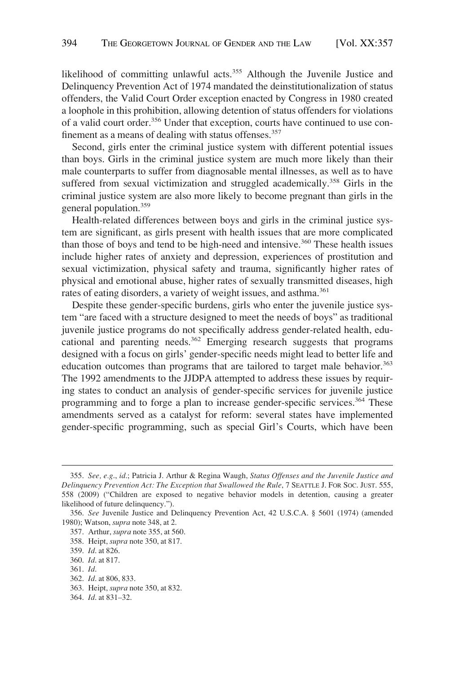likelihood of committing unlawful acts.<sup>355</sup> Although the Juvenile Justice and Delinquency Prevention Act of 1974 mandated the deinstitutionalization of status offenders, the Valid Court Order exception enacted by Congress in 1980 created a loophole in this prohibition, allowing detention of status offenders for violations of a valid court order.<sup>356</sup> Under that exception, courts have continued to use confinement as a means of dealing with status offenses.<sup>357</sup>

Second, girls enter the criminal justice system with different potential issues than boys. Girls in the criminal justice system are much more likely than their male counterparts to suffer from diagnosable mental illnesses, as well as to have suffered from sexual victimization and struggled academically.<sup>358</sup> Girls in the criminal justice system are also more likely to become pregnant than girls in the general population.359

Health-related differences between boys and girls in the criminal justice system are significant, as girls present with health issues that are more complicated than those of boys and tend to be high-need and intensive.<sup>360</sup> These health issues include higher rates of anxiety and depression, experiences of prostitution and sexual victimization, physical safety and trauma, significantly higher rates of physical and emotional abuse, higher rates of sexually transmitted diseases, high rates of eating disorders, a variety of weight issues, and asthma.<sup>361</sup>

Despite these gender-specific burdens, girls who enter the juvenile justice system "are faced with a structure designed to meet the needs of boys" as traditional juvenile justice programs do not specifically address gender-related health, educational and parenting needs.<sup>362</sup> Emerging research suggests that programs designed with a focus on girls' gender-specific needs might lead to better life and education outcomes than programs that are tailored to target male behavior.<sup>363</sup> The 1992 amendments to the JJDPA attempted to address these issues by requiring states to conduct an analysis of gender-specific services for juvenile justice programming and to forge a plan to increase gender-specific services.<sup>364</sup> These amendments served as a catalyst for reform: several states have implemented gender-specific programming, such as special Girl's Courts, which have been

361. *Id*.

364. *Id*. at 831–32.

<sup>355.</sup> *See, e.g*., *id*.; Patricia J. Arthur & Regina Waugh, *Status Offenses and the Juvenile Justice and Delinquency Prevention Act: The Exception that Swallowed the Rule*, 7 SEATTLE J. FOR SOC. JUST. 555, 558 (2009) ("Children are exposed to negative behavior models in detention, causing a greater likelihood of future delinquency.").

<sup>356.</sup> *See* Juvenile Justice and Delinquency Prevention Act, 42 U.S.C.A. § 5601 (1974) (amended 1980); Watson, *supra* note 348, at 2.

<sup>357.</sup> Arthur, *supra* note 355, at 560.

<sup>358.</sup> Heipt, *supra* note 350, at 817.

<sup>359.</sup> *Id*. at 826.

<sup>360.</sup> *Id*. at 817.

<sup>362.</sup> *Id*. at 806, 833.

<sup>363.</sup> Heipt, *supra* note 350, at 832.